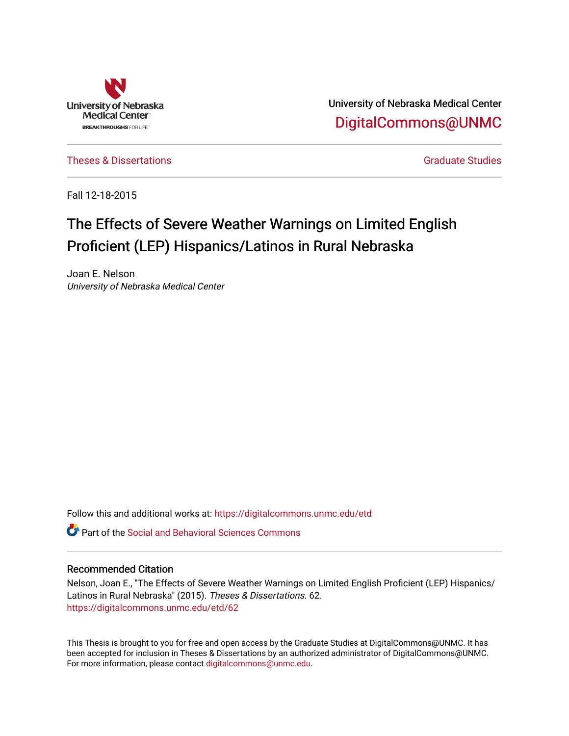

University of Nebraska Medical Center [DigitalCommons@UNMC](https://digitalcommons.unmc.edu/) 

[Theses & Dissertations](https://digitalcommons.unmc.edu/etd) [Graduate Studies](https://digitalcommons.unmc.edu/grad_studies) and Graduate Studies Creations Creations of Graduate Studies

Fall 12-18-2015

# The Effects of Severe Weather Warnings on Limited English Proficient (LEP) Hispanics/Latinos in Rural Nebraska

Joan E. Nelson University of Nebraska Medical Center

Follow this and additional works at: [https://digitalcommons.unmc.edu/etd](https://digitalcommons.unmc.edu/etd?utm_source=digitalcommons.unmc.edu%2Fetd%2F62&utm_medium=PDF&utm_campaign=PDFCoverPages)

**P** Part of the Social and Behavioral Sciences Commons

# Recommended Citation

Nelson, Joan E., "The Effects of Severe Weather Warnings on Limited English Proficient (LEP) Hispanics/ Latinos in Rural Nebraska" (2015). Theses & Dissertations. 62. [https://digitalcommons.unmc.edu/etd/62](https://digitalcommons.unmc.edu/etd/62?utm_source=digitalcommons.unmc.edu%2Fetd%2F62&utm_medium=PDF&utm_campaign=PDFCoverPages) 

This Thesis is brought to you for free and open access by the Graduate Studies at DigitalCommons@UNMC. It has been accepted for inclusion in Theses & Dissertations by an authorized administrator of DigitalCommons@UNMC. For more information, please contact [digitalcommons@unmc.edu](mailto:digitalcommons@unmc.edu).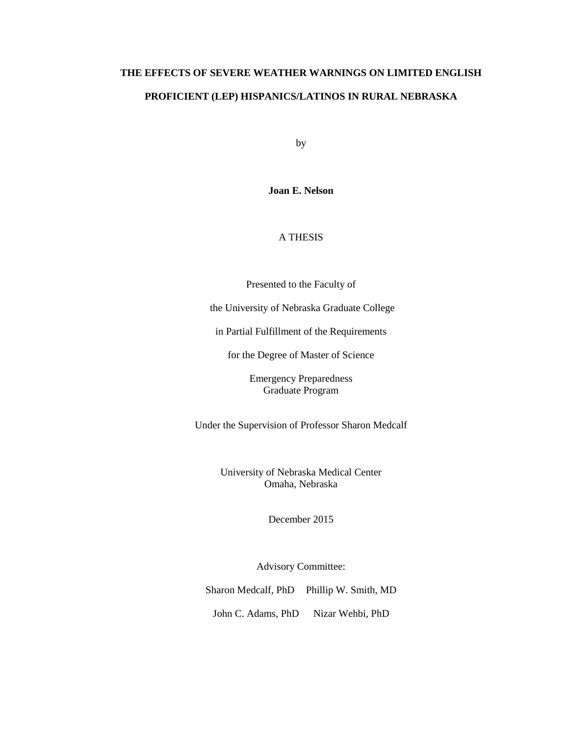# **THE EFFECTS OF SEVERE WEATHER WARNINGS ON LIMITED ENGLISH PROFICIENT (LEP) HISPANICS/LATINOS IN RURAL NEBRASKA**

by

**Joan E. Nelson**

# A THESIS

Presented to the Faculty of

the University of Nebraska Graduate College

in Partial Fulfillment of the Requirements

for the Degree of Master of Science

Emergency Preparedness Graduate Program

Under the Supervision of Professor Sharon Medcalf

University of Nebraska Medical Center Omaha, Nebraska

December 2015

Advisory Committee:

Sharon Medcalf, PhD Phillip W. Smith, MD

John C. Adams, PhD Nizar Wehbi, PhD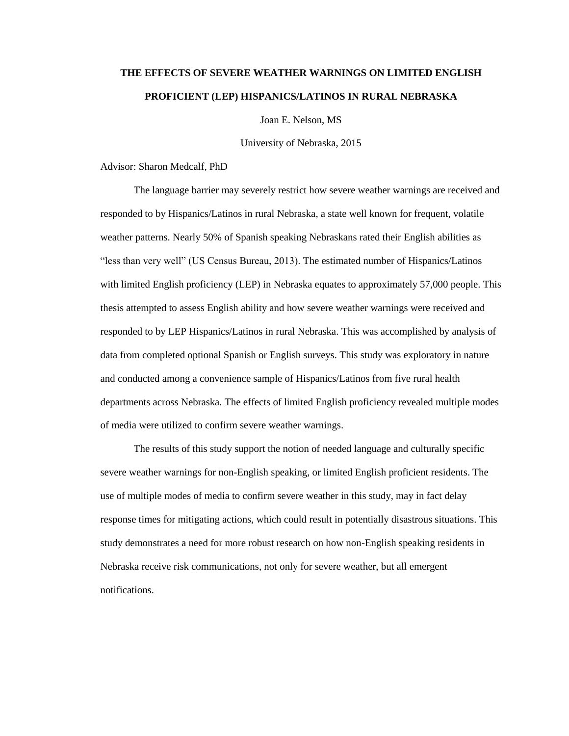# **THE EFFECTS OF SEVERE WEATHER WARNINGS ON LIMITED ENGLISH PROFICIENT (LEP) HISPANICS/LATINOS IN RURAL NEBRASKA**

Joan E. Nelson, MS

University of Nebraska, 2015

Advisor: Sharon Medcalf, PhD

The language barrier may severely restrict how severe weather warnings are received and responded to by Hispanics/Latinos in rural Nebraska, a state well known for frequent, volatile weather patterns. Nearly 50% of Spanish speaking Nebraskans rated their English abilities as "less than very well" (US Census Bureau, 2013). The estimated number of Hispanics/Latinos with limited English proficiency (LEP) in Nebraska equates to approximately 57,000 people. This thesis attempted to assess English ability and how severe weather warnings were received and responded to by LEP Hispanics/Latinos in rural Nebraska. This was accomplished by analysis of data from completed optional Spanish or English surveys. This study was exploratory in nature and conducted among a convenience sample of Hispanics/Latinos from five rural health departments across Nebraska. The effects of limited English proficiency revealed multiple modes of media were utilized to confirm severe weather warnings.

The results of this study support the notion of needed language and culturally specific severe weather warnings for non-English speaking, or limited English proficient residents. The use of multiple modes of media to confirm severe weather in this study, may in fact delay response times for mitigating actions, which could result in potentially disastrous situations. This study demonstrates a need for more robust research on how non-English speaking residents in Nebraska receive risk communications, not only for severe weather, but all emergent notifications.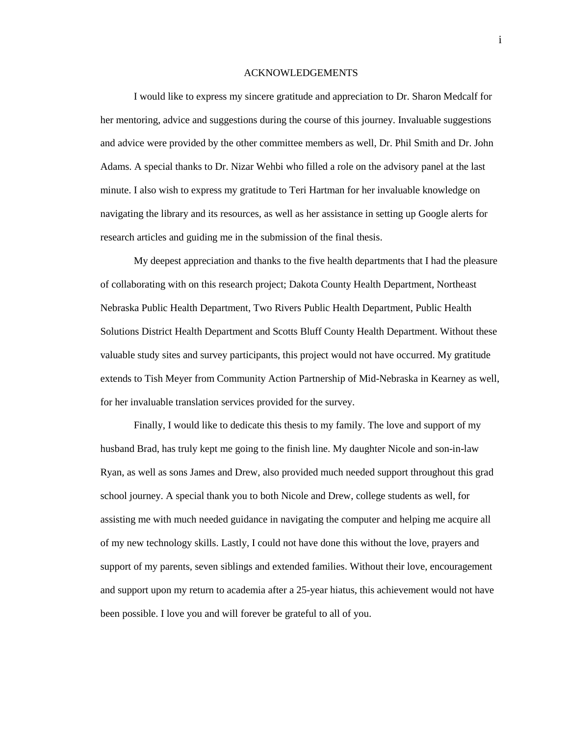#### ACKNOWLEDGEMENTS

I would like to express my sincere gratitude and appreciation to Dr. Sharon Medcalf for her mentoring, advice and suggestions during the course of this journey. Invaluable suggestions and advice were provided by the other committee members as well, Dr. Phil Smith and Dr. John Adams. A special thanks to Dr. Nizar Wehbi who filled a role on the advisory panel at the last minute. I also wish to express my gratitude to Teri Hartman for her invaluable knowledge on navigating the library and its resources, as well as her assistance in setting up Google alerts for research articles and guiding me in the submission of the final thesis.

My deepest appreciation and thanks to the five health departments that I had the pleasure of collaborating with on this research project; Dakota County Health Department, Northeast Nebraska Public Health Department, Two Rivers Public Health Department, Public Health Solutions District Health Department and Scotts Bluff County Health Department. Without these valuable study sites and survey participants, this project would not have occurred. My gratitude extends to Tish Meyer from Community Action Partnership of Mid-Nebraska in Kearney as well, for her invaluable translation services provided for the survey.

Finally, I would like to dedicate this thesis to my family. The love and support of my husband Brad, has truly kept me going to the finish line. My daughter Nicole and son-in-law Ryan, as well as sons James and Drew, also provided much needed support throughout this grad school journey. A special thank you to both Nicole and Drew, college students as well, for assisting me with much needed guidance in navigating the computer and helping me acquire all of my new technology skills. Lastly, I could not have done this without the love, prayers and support of my parents, seven siblings and extended families. Without their love, encouragement and support upon my return to academia after a 25-year hiatus, this achievement would not have been possible. I love you and will forever be grateful to all of you.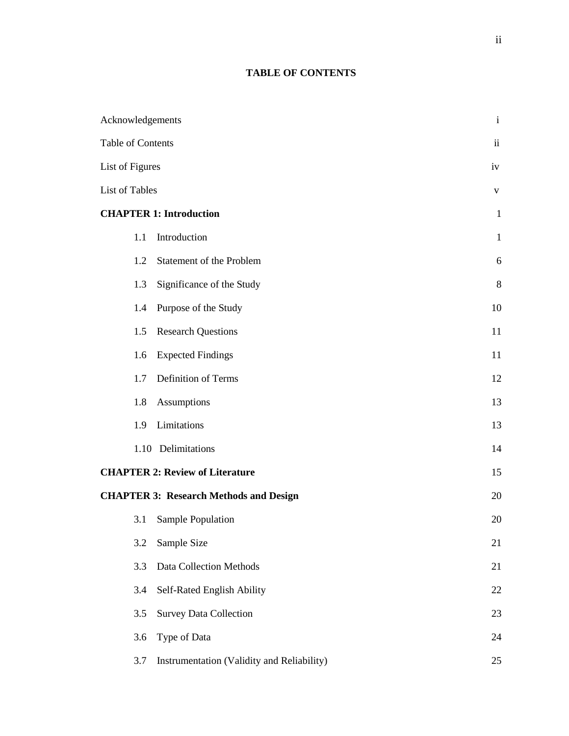# **TABLE OF CONTENTS**

| Acknowledgements         |                                               | $\mathbf{i}$             |
|--------------------------|-----------------------------------------------|--------------------------|
| <b>Table of Contents</b> |                                               | $\overline{\mathbf{ii}}$ |
| List of Figures          |                                               | iv                       |
| <b>List of Tables</b>    |                                               | $\mathbf V$              |
|                          | <b>CHAPTER 1: Introduction</b>                | $\mathbf{1}$             |
| 1.1                      | Introduction                                  | $\mathbf{1}$             |
| 1.2                      | Statement of the Problem                      | 6                        |
| 1.3                      | Significance of the Study                     | $8\,$                    |
| 1.4                      | Purpose of the Study                          | 10                       |
| 1.5                      | <b>Research Questions</b>                     | 11                       |
| 1.6                      | <b>Expected Findings</b>                      | 11                       |
| 1.7                      | Definition of Terms                           | 12                       |
| 1.8                      | Assumptions                                   | 13                       |
| 1.9                      | Limitations                                   | 13                       |
|                          | 1.10 Delimitations                            | 14                       |
|                          | <b>CHAPTER 2: Review of Literature</b>        | 15                       |
|                          | <b>CHAPTER 3: Research Methods and Design</b> | 20                       |
| 3.1                      | Sample Population                             | 20                       |
| 3.2                      | Sample Size                                   | 21                       |
| 3.3                      | <b>Data Collection Methods</b>                | 21                       |
| 3.4                      | Self-Rated English Ability                    | 22                       |
| 3.5                      | <b>Survey Data Collection</b>                 | 23                       |
| 3.6                      | Type of Data                                  | 24                       |
| 3.7                      | Instrumentation (Validity and Reliability)    | 25                       |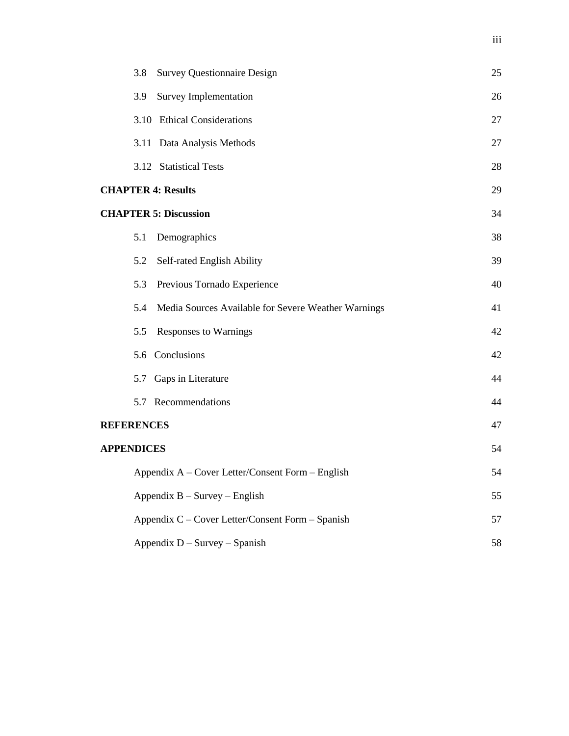|                   | 3.8  | <b>Survey Questionnaire Design</b>                  | 25 |
|-------------------|------|-----------------------------------------------------|----|
|                   | 3.9  | <b>Survey Implementation</b>                        | 26 |
|                   |      | 3.10 Ethical Considerations                         | 27 |
|                   | 3.11 | Data Analysis Methods                               | 27 |
|                   |      | 3.12 Statistical Tests                              | 28 |
|                   |      | <b>CHAPTER 4: Results</b>                           | 29 |
|                   |      | <b>CHAPTER 5: Discussion</b>                        | 34 |
|                   | 5.1  | Demographics                                        | 38 |
|                   | 5.2  | Self-rated English Ability                          | 39 |
|                   | 5.3  | Previous Tornado Experience                         | 40 |
|                   | 5.4  | Media Sources Available for Severe Weather Warnings | 41 |
|                   | 5.5  | <b>Responses to Warnings</b>                        | 42 |
|                   |      | 5.6 Conclusions                                     | 42 |
|                   |      | 5.7 Gaps in Literature                              | 44 |
|                   |      | 5.7 Recommendations                                 | 44 |
| <b>REFERENCES</b> |      |                                                     | 47 |
| <b>APPENDICES</b> |      |                                                     | 54 |
|                   |      | Appendix A – Cover Letter/Consent Form – English    | 54 |
|                   |      | Appendix $B - Survey - English$                     | 55 |
|                   |      | Appendix C – Cover Letter/Consent Form – Spanish    | 57 |
|                   |      | Appendix $D - Survey - Spanish$                     | 58 |

iii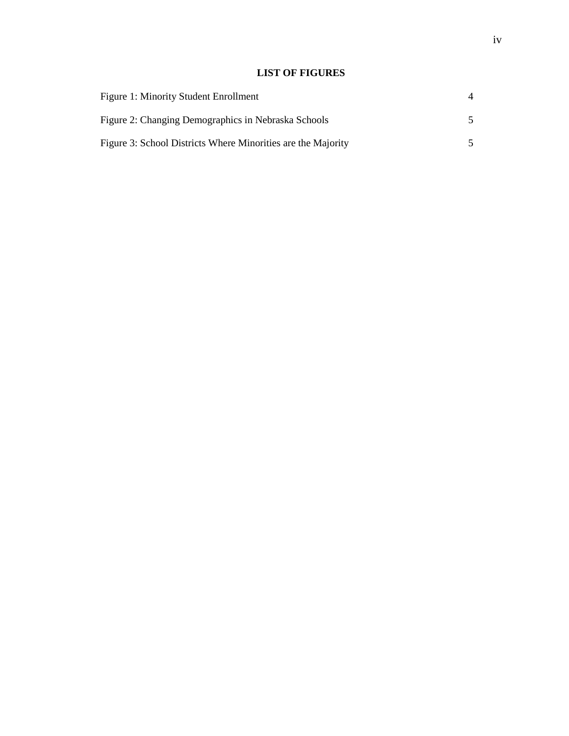# **LIST OF FIGURES**

| <b>Figure 1: Minority Student Enrollment</b>                 |  |
|--------------------------------------------------------------|--|
| Figure 2: Changing Demographics in Nebraska Schools          |  |
| Figure 3: School Districts Where Minorities are the Majority |  |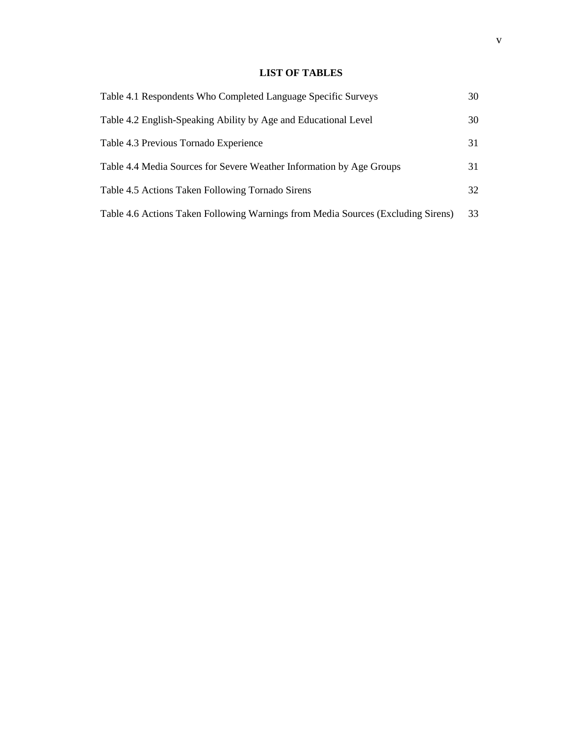# **LIST OF TABLES**

| Table 4.1 Respondents Who Completed Language Specific Surveys                    | 30 |
|----------------------------------------------------------------------------------|----|
| Table 4.2 English-Speaking Ability by Age and Educational Level                  | 30 |
| Table 4.3 Previous Tornado Experience                                            | 31 |
| Table 4.4 Media Sources for Severe Weather Information by Age Groups             | 31 |
| Table 4.5 Actions Taken Following Tornado Sirens                                 | 32 |
| Table 4.6 Actions Taken Following Warnings from Media Sources (Excluding Sirens) | 33 |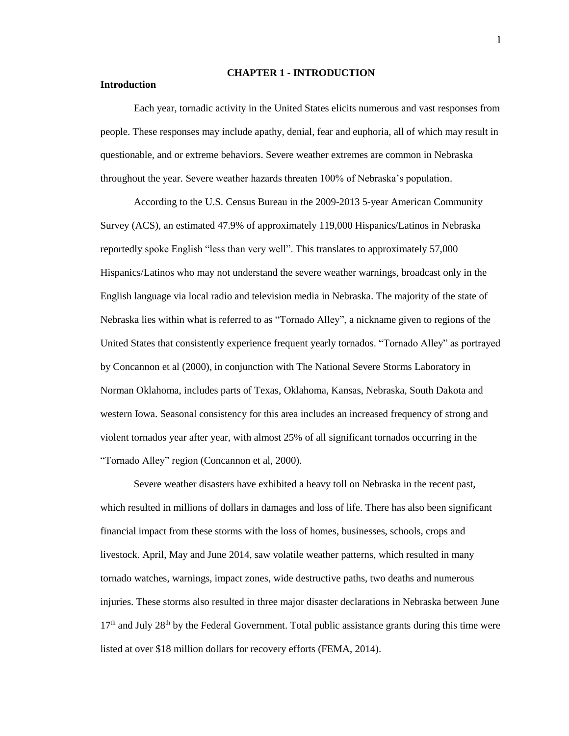#### **CHAPTER 1 - INTRODUCTION**

#### **Introduction**

Each year, tornadic activity in the United States elicits numerous and vast responses from people. These responses may include apathy, denial, fear and euphoria, all of which may result in questionable, and or extreme behaviors. Severe weather extremes are common in Nebraska throughout the year. Severe weather hazards threaten 100% of Nebraska's population.

According to the U.S. Census Bureau in the 2009-2013 5-year American Community Survey (ACS), an estimated 47.9% of approximately 119,000 Hispanics/Latinos in Nebraska reportedly spoke English "less than very well". This translates to approximately 57,000 Hispanics/Latinos who may not understand the severe weather warnings, broadcast only in the English language via local radio and television media in Nebraska. The majority of the state of Nebraska lies within what is referred to as "Tornado Alley", a nickname given to regions of the United States that consistently experience frequent yearly tornados. "Tornado Alley" as portrayed by Concannon et al (2000), in conjunction with The National Severe Storms Laboratory in Norman Oklahoma, includes parts of Texas, Oklahoma, Kansas, Nebraska, South Dakota and western Iowa. Seasonal consistency for this area includes an increased frequency of strong and violent tornados year after year, with almost 25% of all significant tornados occurring in the "Tornado Alley" region (Concannon et al, 2000).

Severe weather disasters have exhibited a heavy toll on Nebraska in the recent past, which resulted in millions of dollars in damages and loss of life. There has also been significant financial impact from these storms with the loss of homes, businesses, schools, crops and livestock. April, May and June 2014, saw volatile weather patterns, which resulted in many tornado watches, warnings, impact zones, wide destructive paths, two deaths and numerous injuries. These storms also resulted in three major disaster declarations in Nebraska between June 17<sup>th</sup> and July 28<sup>th</sup> by the Federal Government. Total public assistance grants during this time were listed at over \$18 million dollars for recovery efforts (FEMA, 2014).

1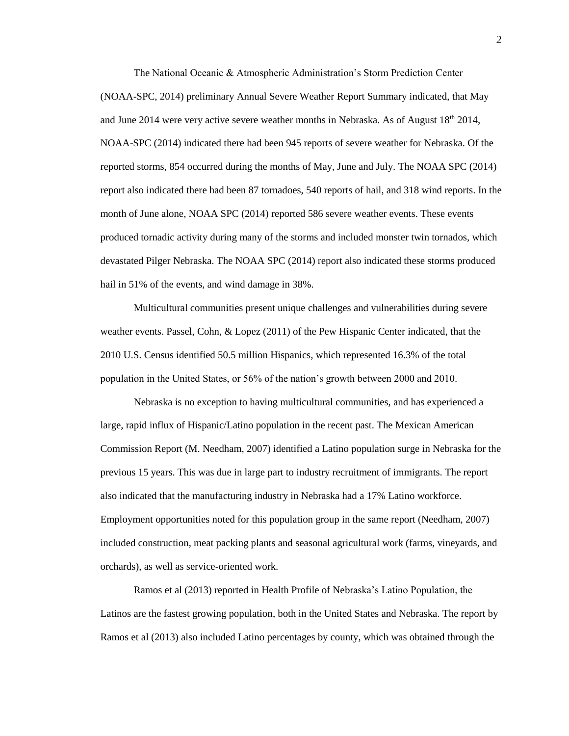The National Oceanic & Atmospheric Administration's Storm Prediction Center (NOAA-SPC, 2014) preliminary Annual Severe Weather Report Summary indicated, that May and June 2014 were very active severe weather months in Nebraska. As of August  $18<sup>th</sup> 2014$ , NOAA-SPC (2014) indicated there had been 945 reports of severe weather for Nebraska. Of the reported storms, 854 occurred during the months of May, June and July. The NOAA SPC (2014) report also indicated there had been 87 tornadoes, 540 reports of hail, and 318 wind reports. In the month of June alone, NOAA SPC (2014) reported 586 severe weather events. These events produced tornadic activity during many of the storms and included monster twin tornados, which devastated Pilger Nebraska. The NOAA SPC (2014) report also indicated these storms produced hail in 51% of the events, and wind damage in 38%.

Multicultural communities present unique challenges and vulnerabilities during severe weather events. Passel, Cohn, & Lopez (2011) of the Pew Hispanic Center indicated, that the 2010 U.S. Census identified 50.5 million Hispanics, which represented 16.3% of the total population in the United States, or 56% of the nation's growth between 2000 and 2010.

Nebraska is no exception to having multicultural communities, and has experienced a large, rapid influx of Hispanic/Latino population in the recent past. The Mexican American Commission Report (M. Needham, 2007) identified a Latino population surge in Nebraska for the previous 15 years. This was due in large part to industry recruitment of immigrants. The report also indicated that the manufacturing industry in Nebraska had a 17% Latino workforce. Employment opportunities noted for this population group in the same report (Needham, 2007) included construction, meat packing plants and seasonal agricultural work (farms, vineyards, and orchards), as well as service-oriented work.

Ramos et al (2013) reported in Health Profile of Nebraska's Latino Population, the Latinos are the fastest growing population, both in the United States and Nebraska. The report by Ramos et al (2013) also included Latino percentages by county, which was obtained through the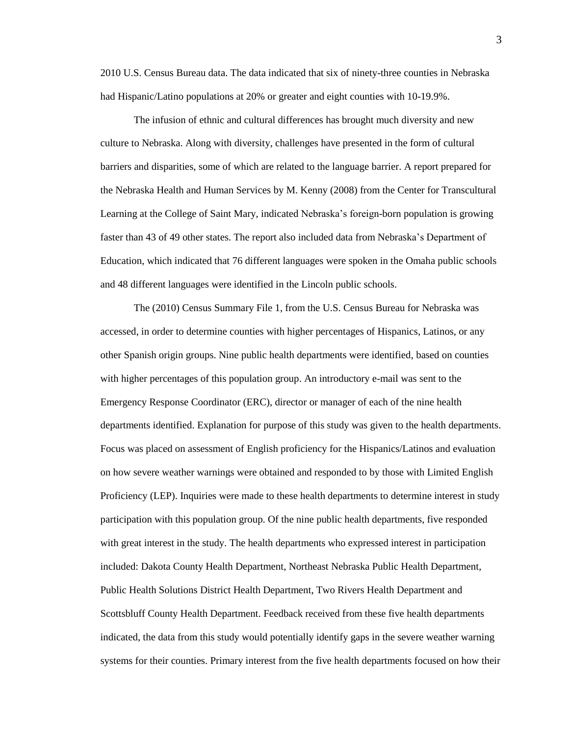2010 U.S. Census Bureau data. The data indicated that six of ninety-three counties in Nebraska had Hispanic/Latino populations at 20% or greater and eight counties with 10-19.9%.

The infusion of ethnic and cultural differences has brought much diversity and new culture to Nebraska. Along with diversity, challenges have presented in the form of cultural barriers and disparities, some of which are related to the language barrier. A report prepared for the Nebraska Health and Human Services by M. Kenny (2008) from the Center for Transcultural Learning at the College of Saint Mary, indicated Nebraska's foreign-born population is growing faster than 43 of 49 other states. The report also included data from Nebraska's Department of Education, which indicated that 76 different languages were spoken in the Omaha public schools and 48 different languages were identified in the Lincoln public schools.

The (2010) Census Summary File 1, from the U.S. Census Bureau for Nebraska was accessed, in order to determine counties with higher percentages of Hispanics, Latinos, or any other Spanish origin groups. Nine public health departments were identified, based on counties with higher percentages of this population group. An introductory e-mail was sent to the Emergency Response Coordinator (ERC), director or manager of each of the nine health departments identified. Explanation for purpose of this study was given to the health departments. Focus was placed on assessment of English proficiency for the Hispanics/Latinos and evaluation on how severe weather warnings were obtained and responded to by those with Limited English Proficiency (LEP). Inquiries were made to these health departments to determine interest in study participation with this population group. Of the nine public health departments, five responded with great interest in the study. The health departments who expressed interest in participation included: Dakota County Health Department, Northeast Nebraska Public Health Department, Public Health Solutions District Health Department, Two Rivers Health Department and Scottsbluff County Health Department. Feedback received from these five health departments indicated, the data from this study would potentially identify gaps in the severe weather warning systems for their counties. Primary interest from the five health departments focused on how their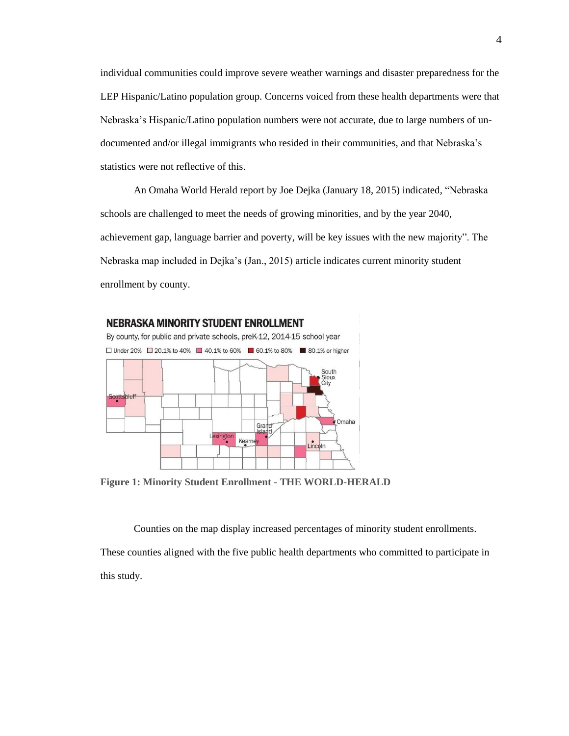individual communities could improve severe weather warnings and disaster preparedness for the LEP Hispanic/Latino population group. Concerns voiced from these health departments were that Nebraska's Hispanic/Latino population numbers were not accurate, due to large numbers of undocumented and/or illegal immigrants who resided in their communities, and that Nebraska's statistics were not reflective of this.

An Omaha World Herald report by Joe Dejka (January 18, 2015) indicated, "Nebraska schools are challenged to meet the needs of growing minorities, and by the year 2040, achievement gap, language barrier and poverty, will be key issues with the new majority". The Nebraska map included in Dejka's (Jan., 2015) article indicates current minority student enrollment by county.



**Figure 1: Minority Student Enrollment - THE WORLD-HERALD**

Counties on the map display increased percentages of minority student enrollments.

These counties aligned with the five public health departments who committed to participate in this study.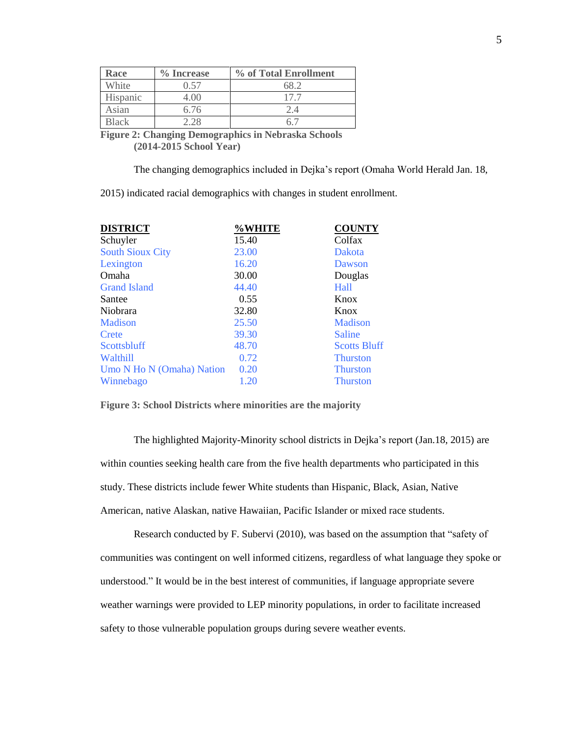| Race         | % Increase | % of Total Enrollment |
|--------------|------------|-----------------------|
| White        | Ი 57       |                       |
| Hispanic     | 4.00       | 177                   |
| Asian        | 6.76       | 2. 4                  |
| <b>Black</b> | 128        |                       |

**Figure 2: Changing Demographics in Nebraska Schools (2014-2015 School Year)**

The changing demographics included in Dejka's report (Omaha World Herald Jan. 18,

2015) indicated racial demographics with changes in student enrollment.

| <b>DISTRICT</b>           | %WHITE | <b>COUNTY</b>       |
|---------------------------|--------|---------------------|
| Schuyler                  | 15.40  | Colfax              |
| <b>South Sioux City</b>   | 23.00  | <b>Dakota</b>       |
| Lexington                 | 16.20  | Dawson              |
| Omaha                     | 30.00  | Douglas             |
| <b>Grand Island</b>       | 44.40  | Hall                |
| Santee                    | 0.55   | Knox                |
| Niobrara                  | 32.80  | Knox                |
| Madison                   | 25.50  | Madison             |
| Crete                     | 39.30  | Saline              |
| Scottsbluff               | 48.70  | <b>Scotts Bluff</b> |
| <b>Walthill</b>           | 0.72   | <b>Thurston</b>     |
| Umo N Ho N (Omaha) Nation | 0.20   | <b>Thurston</b>     |
| Winnebago                 | 1.20   | <b>Thurston</b>     |

**Figure 3: School Districts where minorities are the majority** 

The highlighted Majority-Minority school districts in Dejka's report (Jan.18, 2015) are within counties seeking health care from the five health departments who participated in this study. These districts include fewer White students than Hispanic, Black, Asian, Native American, native Alaskan, native Hawaiian, Pacific Islander or mixed race students.

Research conducted by F. Subervi (2010), was based on the assumption that "safety of communities was contingent on well informed citizens, regardless of what language they spoke or understood." It would be in the best interest of communities, if language appropriate severe weather warnings were provided to LEP minority populations, in order to facilitate increased safety to those vulnerable population groups during severe weather events.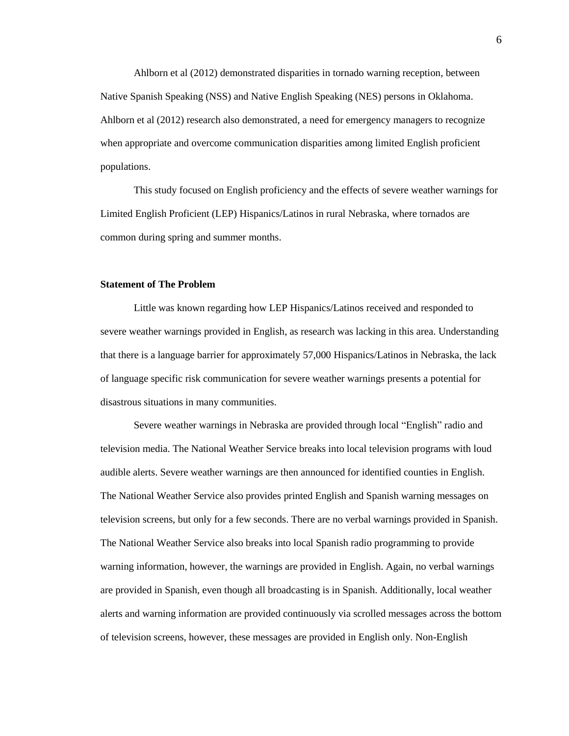Ahlborn et al (2012) demonstrated disparities in tornado warning reception, between Native Spanish Speaking (NSS) and Native English Speaking (NES) persons in Oklahoma. Ahlborn et al (2012) research also demonstrated, a need for emergency managers to recognize when appropriate and overcome communication disparities among limited English proficient populations.

This study focused on English proficiency and the effects of severe weather warnings for Limited English Proficient (LEP) Hispanics/Latinos in rural Nebraska, where tornados are common during spring and summer months.

#### **Statement of The Problem**

Little was known regarding how LEP Hispanics/Latinos received and responded to severe weather warnings provided in English, as research was lacking in this area. Understanding that there is a language barrier for approximately 57,000 Hispanics/Latinos in Nebraska, the lack of language specific risk communication for severe weather warnings presents a potential for disastrous situations in many communities.

Severe weather warnings in Nebraska are provided through local "English" radio and television media. The National Weather Service breaks into local television programs with loud audible alerts. Severe weather warnings are then announced for identified counties in English. The National Weather Service also provides printed English and Spanish warning messages on television screens, but only for a few seconds. There are no verbal warnings provided in Spanish. The National Weather Service also breaks into local Spanish radio programming to provide warning information, however, the warnings are provided in English. Again, no verbal warnings are provided in Spanish, even though all broadcasting is in Spanish. Additionally, local weather alerts and warning information are provided continuously via scrolled messages across the bottom of television screens, however, these messages are provided in English only. Non-English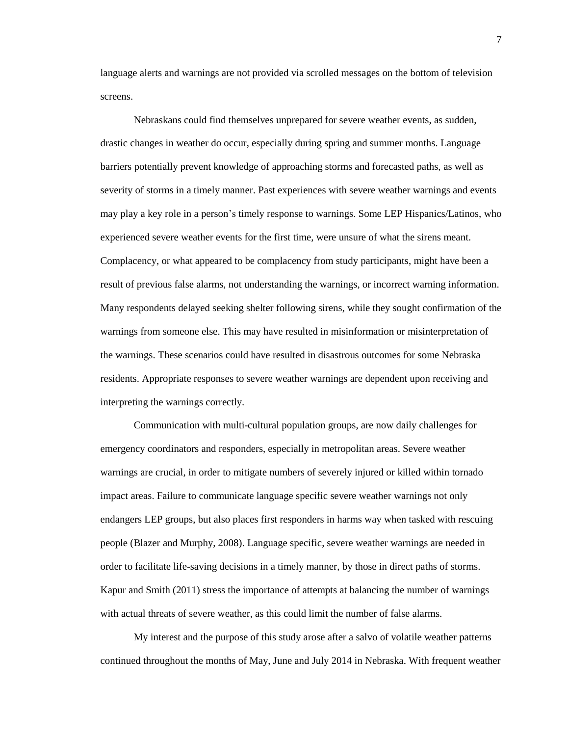language alerts and warnings are not provided via scrolled messages on the bottom of television screens.

Nebraskans could find themselves unprepared for severe weather events, as sudden, drastic changes in weather do occur, especially during spring and summer months. Language barriers potentially prevent knowledge of approaching storms and forecasted paths, as well as severity of storms in a timely manner. Past experiences with severe weather warnings and events may play a key role in a person's timely response to warnings. Some LEP Hispanics/Latinos, who experienced severe weather events for the first time, were unsure of what the sirens meant. Complacency, or what appeared to be complacency from study participants, might have been a result of previous false alarms, not understanding the warnings, or incorrect warning information. Many respondents delayed seeking shelter following sirens, while they sought confirmation of the warnings from someone else. This may have resulted in misinformation or misinterpretation of the warnings. These scenarios could have resulted in disastrous outcomes for some Nebraska residents. Appropriate responses to severe weather warnings are dependent upon receiving and interpreting the warnings correctly.

Communication with multi-cultural population groups, are now daily challenges for emergency coordinators and responders, especially in metropolitan areas. Severe weather warnings are crucial, in order to mitigate numbers of severely injured or killed within tornado impact areas. Failure to communicate language specific severe weather warnings not only endangers LEP groups, but also places first responders in harms way when tasked with rescuing people (Blazer and Murphy, 2008). Language specific, severe weather warnings are needed in order to facilitate life-saving decisions in a timely manner, by those in direct paths of storms. Kapur and Smith (2011) stress the importance of attempts at balancing the number of warnings with actual threats of severe weather, as this could limit the number of false alarms.

My interest and the purpose of this study arose after a salvo of volatile weather patterns continued throughout the months of May, June and July 2014 in Nebraska. With frequent weather

7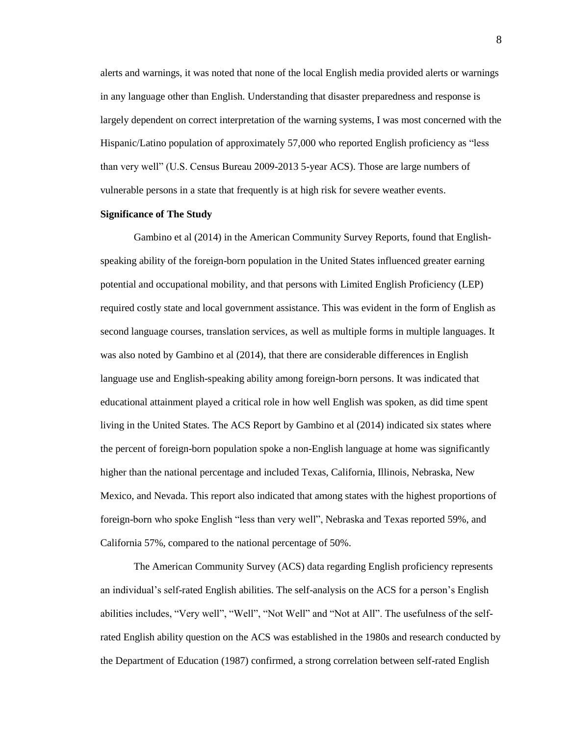alerts and warnings, it was noted that none of the local English media provided alerts or warnings in any language other than English. Understanding that disaster preparedness and response is largely dependent on correct interpretation of the warning systems, I was most concerned with the Hispanic/Latino population of approximately 57,000 who reported English proficiency as "less than very well" (U.S. Census Bureau 2009-2013 5-year ACS). Those are large numbers of vulnerable persons in a state that frequently is at high risk for severe weather events.

# **Significance of The Study**

Gambino et al (2014) in the American Community Survey Reports, found that Englishspeaking ability of the foreign-born population in the United States influenced greater earning potential and occupational mobility, and that persons with Limited English Proficiency (LEP) required costly state and local government assistance. This was evident in the form of English as second language courses, translation services, as well as multiple forms in multiple languages. It was also noted by Gambino et al (2014), that there are considerable differences in English language use and English-speaking ability among foreign-born persons. It was indicated that educational attainment played a critical role in how well English was spoken, as did time spent living in the United States. The ACS Report by Gambino et al (2014) indicated six states where the percent of foreign-born population spoke a non-English language at home was significantly higher than the national percentage and included Texas, California, Illinois, Nebraska, New Mexico, and Nevada. This report also indicated that among states with the highest proportions of foreign-born who spoke English "less than very well", Nebraska and Texas reported 59%, and California 57%, compared to the national percentage of 50%.

The American Community Survey (ACS) data regarding English proficiency represents an individual's self-rated English abilities. The self-analysis on the ACS for a person's English abilities includes, "Very well", "Well", "Not Well" and "Not at All". The usefulness of the selfrated English ability question on the ACS was established in the 1980s and research conducted by the Department of Education (1987) confirmed, a strong correlation between self-rated English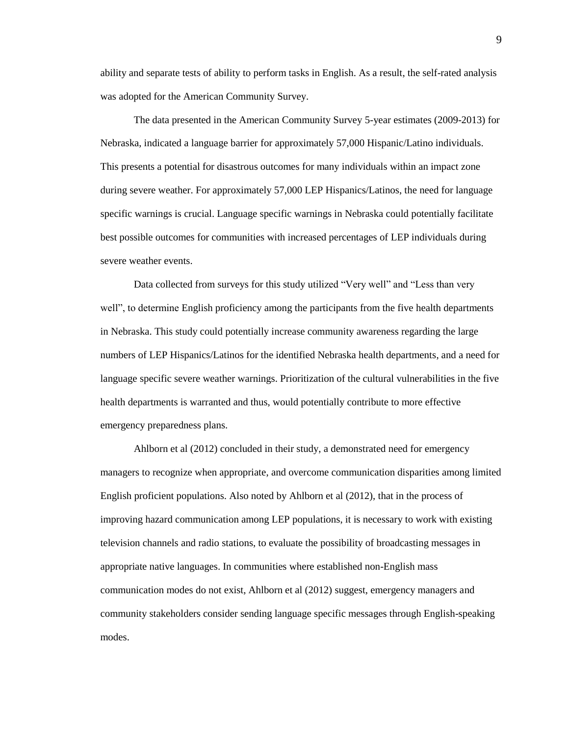ability and separate tests of ability to perform tasks in English. As a result, the self-rated analysis was adopted for the American Community Survey.

The data presented in the American Community Survey 5-year estimates (2009-2013) for Nebraska, indicated a language barrier for approximately 57,000 Hispanic/Latino individuals. This presents a potential for disastrous outcomes for many individuals within an impact zone during severe weather. For approximately 57,000 LEP Hispanics/Latinos, the need for language specific warnings is crucial. Language specific warnings in Nebraska could potentially facilitate best possible outcomes for communities with increased percentages of LEP individuals during severe weather events.

Data collected from surveys for this study utilized "Very well" and "Less than very well", to determine English proficiency among the participants from the five health departments in Nebraska. This study could potentially increase community awareness regarding the large numbers of LEP Hispanics/Latinos for the identified Nebraska health departments, and a need for language specific severe weather warnings. Prioritization of the cultural vulnerabilities in the five health departments is warranted and thus, would potentially contribute to more effective emergency preparedness plans.

Ahlborn et al (2012) concluded in their study, a demonstrated need for emergency managers to recognize when appropriate, and overcome communication disparities among limited English proficient populations. Also noted by Ahlborn et al (2012), that in the process of improving hazard communication among LEP populations, it is necessary to work with existing television channels and radio stations, to evaluate the possibility of broadcasting messages in appropriate native languages. In communities where established non-English mass communication modes do not exist, Ahlborn et al (2012) suggest, emergency managers and community stakeholders consider sending language specific messages through English-speaking modes.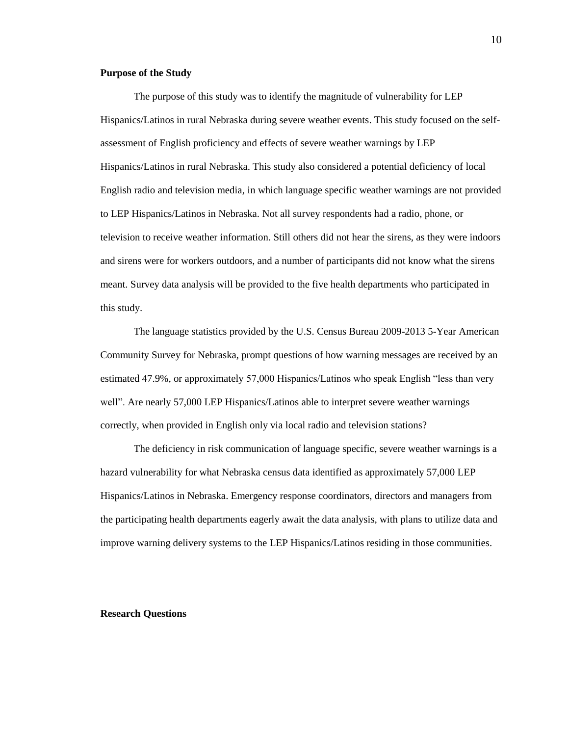### **Purpose of the Study**

The purpose of this study was to identify the magnitude of vulnerability for LEP Hispanics/Latinos in rural Nebraska during severe weather events. This study focused on the selfassessment of English proficiency and effects of severe weather warnings by LEP Hispanics/Latinos in rural Nebraska. This study also considered a potential deficiency of local English radio and television media, in which language specific weather warnings are not provided to LEP Hispanics/Latinos in Nebraska. Not all survey respondents had a radio, phone, or television to receive weather information. Still others did not hear the sirens, as they were indoors and sirens were for workers outdoors, and a number of participants did not know what the sirens meant. Survey data analysis will be provided to the five health departments who participated in this study.

The language statistics provided by the U.S. Census Bureau 2009-2013 5-Year American Community Survey for Nebraska, prompt questions of how warning messages are received by an estimated 47.9%, or approximately 57,000 Hispanics/Latinos who speak English "less than very well". Are nearly 57,000 LEP Hispanics/Latinos able to interpret severe weather warnings correctly, when provided in English only via local radio and television stations?

The deficiency in risk communication of language specific, severe weather warnings is a hazard vulnerability for what Nebraska census data identified as approximately 57,000 LEP Hispanics/Latinos in Nebraska. Emergency response coordinators, directors and managers from the participating health departments eagerly await the data analysis, with plans to utilize data and improve warning delivery systems to the LEP Hispanics/Latinos residing in those communities.

#### **Research Questions**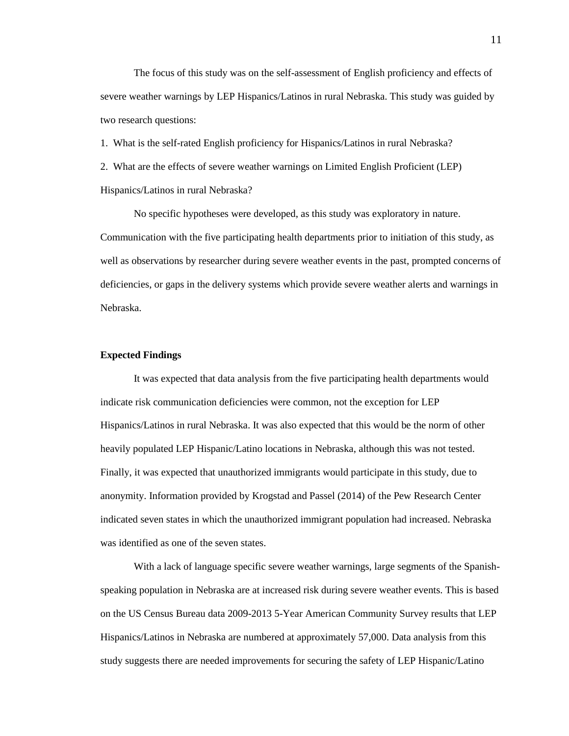The focus of this study was on the self-assessment of English proficiency and effects of severe weather warnings by LEP Hispanics/Latinos in rural Nebraska. This study was guided by two research questions:

1. What is the self-rated English proficiency for Hispanics/Latinos in rural Nebraska?

2. What are the effects of severe weather warnings on Limited English Proficient (LEP) Hispanics/Latinos in rural Nebraska?

No specific hypotheses were developed, as this study was exploratory in nature. Communication with the five participating health departments prior to initiation of this study, as well as observations by researcher during severe weather events in the past, prompted concerns of deficiencies, or gaps in the delivery systems which provide severe weather alerts and warnings in Nebraska.

### **Expected Findings**

It was expected that data analysis from the five participating health departments would indicate risk communication deficiencies were common, not the exception for LEP Hispanics/Latinos in rural Nebraska. It was also expected that this would be the norm of other heavily populated LEP Hispanic/Latino locations in Nebraska, although this was not tested. Finally, it was expected that unauthorized immigrants would participate in this study, due to anonymity. Information provided by Krogstad and Passel (2014) of the Pew Research Center indicated seven states in which the unauthorized immigrant population had increased. Nebraska was identified as one of the seven states.

With a lack of language specific severe weather warnings, large segments of the Spanishspeaking population in Nebraska are at increased risk during severe weather events. This is based on the US Census Bureau data 2009-2013 5-Year American Community Survey results that LEP Hispanics/Latinos in Nebraska are numbered at approximately 57,000. Data analysis from this study suggests there are needed improvements for securing the safety of LEP Hispanic/Latino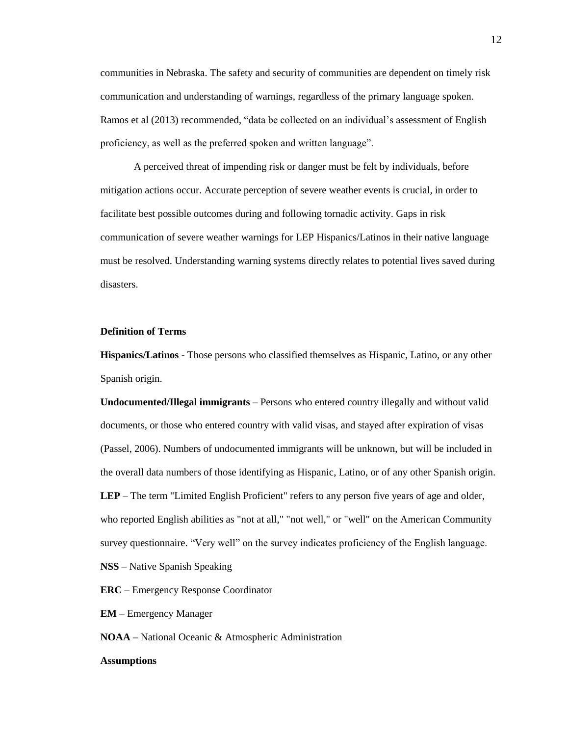communities in Nebraska. The safety and security of communities are dependent on timely risk communication and understanding of warnings, regardless of the primary language spoken. Ramos et al (2013) recommended, "data be collected on an individual's assessment of English proficiency, as well as the preferred spoken and written language".

A perceived threat of impending risk or danger must be felt by individuals, before mitigation actions occur. Accurate perception of severe weather events is crucial, in order to facilitate best possible outcomes during and following tornadic activity. Gaps in risk communication of severe weather warnings for LEP Hispanics/Latinos in their native language must be resolved. Understanding warning systems directly relates to potential lives saved during disasters.

# **Definition of Terms**

**Hispanics/Latinos** - Those persons who classified themselves as Hispanic, Latino, or any other Spanish origin.

**Undocumented/Illegal immigrants** – Persons who entered country illegally and without valid documents, or those who entered country with valid visas, and stayed after expiration of visas (Passel, 2006). Numbers of undocumented immigrants will be unknown, but will be included in the overall data numbers of those identifying as Hispanic, Latino, or of any other Spanish origin. **LEP** – The term "Limited English Proficient" refers to any person five years of age and older, who reported English abilities as "not at all," "not well," or "well" on the American Community survey questionnaire. "Very well" on the survey indicates proficiency of the English language.

**NSS** – Native Spanish Speaking

**ERC** – Emergency Response Coordinator

**EM** – Emergency Manager

**NOAA –** National Oceanic & Atmospheric Administration

#### **Assumptions**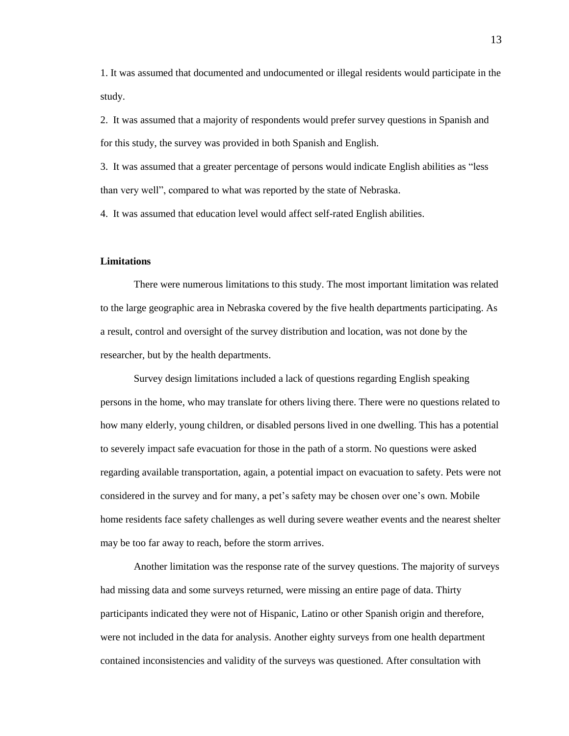1. It was assumed that documented and undocumented or illegal residents would participate in the study.

2. It was assumed that a majority of respondents would prefer survey questions in Spanish and for this study, the survey was provided in both Spanish and English.

3. It was assumed that a greater percentage of persons would indicate English abilities as "less than very well", compared to what was reported by the state of Nebraska.

4. It was assumed that education level would affect self-rated English abilities.

# **Limitations**

There were numerous limitations to this study. The most important limitation was related to the large geographic area in Nebraska covered by the five health departments participating. As a result, control and oversight of the survey distribution and location, was not done by the researcher, but by the health departments.

Survey design limitations included a lack of questions regarding English speaking persons in the home, who may translate for others living there. There were no questions related to how many elderly, young children, or disabled persons lived in one dwelling. This has a potential to severely impact safe evacuation for those in the path of a storm. No questions were asked regarding available transportation, again, a potential impact on evacuation to safety. Pets were not considered in the survey and for many, a pet's safety may be chosen over one's own. Mobile home residents face safety challenges as well during severe weather events and the nearest shelter may be too far away to reach, before the storm arrives.

Another limitation was the response rate of the survey questions. The majority of surveys had missing data and some surveys returned, were missing an entire page of data. Thirty participants indicated they were not of Hispanic, Latino or other Spanish origin and therefore, were not included in the data for analysis. Another eighty surveys from one health department contained inconsistencies and validity of the surveys was questioned. After consultation with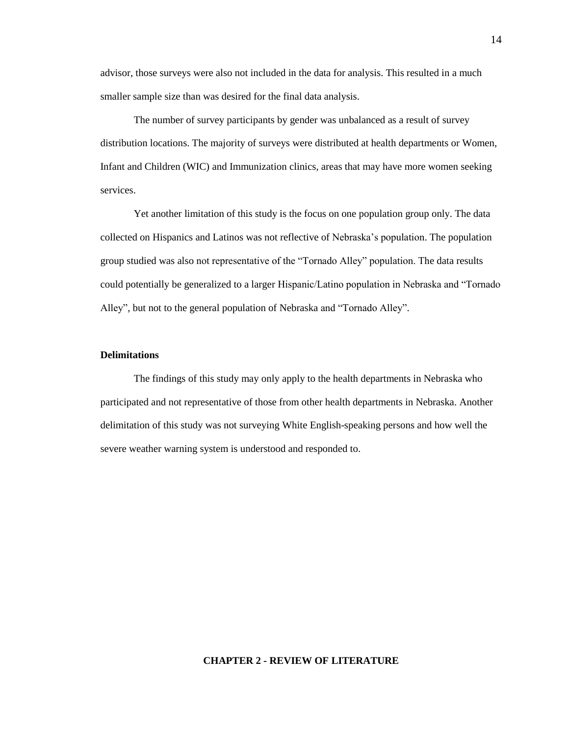advisor, those surveys were also not included in the data for analysis. This resulted in a much smaller sample size than was desired for the final data analysis.

The number of survey participants by gender was unbalanced as a result of survey distribution locations. The majority of surveys were distributed at health departments or Women, Infant and Children (WIC) and Immunization clinics, areas that may have more women seeking services.

Yet another limitation of this study is the focus on one population group only. The data collected on Hispanics and Latinos was not reflective of Nebraska's population. The population group studied was also not representative of the "Tornado Alley" population. The data results could potentially be generalized to a larger Hispanic/Latino population in Nebraska and "Tornado Alley", but not to the general population of Nebraska and "Tornado Alley".

# **Delimitations**

The findings of this study may only apply to the health departments in Nebraska who participated and not representative of those from other health departments in Nebraska. Another delimitation of this study was not surveying White English-speaking persons and how well the severe weather warning system is understood and responded to.

#### **CHAPTER 2 - REVIEW OF LITERATURE**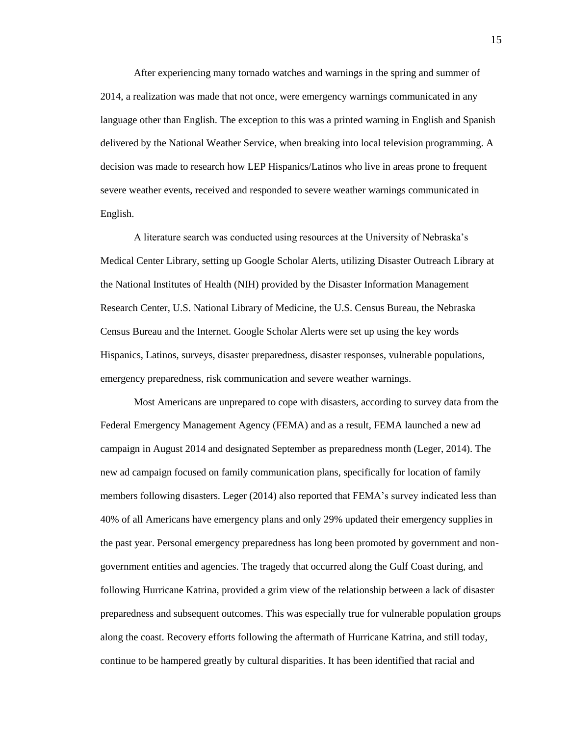After experiencing many tornado watches and warnings in the spring and summer of 2014, a realization was made that not once, were emergency warnings communicated in any language other than English. The exception to this was a printed warning in English and Spanish delivered by the National Weather Service, when breaking into local television programming. A decision was made to research how LEP Hispanics/Latinos who live in areas prone to frequent severe weather events, received and responded to severe weather warnings communicated in English.

A literature search was conducted using resources at the University of Nebraska's Medical Center Library, setting up Google Scholar Alerts, utilizing Disaster Outreach Library at the National Institutes of Health (NIH) provided by the Disaster Information Management Research Center, U.S. National Library of Medicine, the U.S. Census Bureau, the Nebraska Census Bureau and the Internet. Google Scholar Alerts were set up using the key words Hispanics, Latinos, surveys, disaster preparedness, disaster responses, vulnerable populations, emergency preparedness, risk communication and severe weather warnings.

Most Americans are unprepared to cope with disasters, according to survey data from the Federal Emergency Management Agency (FEMA) and as a result, FEMA launched a new ad campaign in August 2014 and designated September as preparedness month (Leger, 2014). The new ad campaign focused on family communication plans, specifically for location of family members following disasters. Leger (2014) also reported that FEMA's survey indicated less than 40% of all Americans have emergency plans and only 29% updated their emergency supplies in the past year. Personal emergency preparedness has long been promoted by government and nongovernment entities and agencies. The tragedy that occurred along the Gulf Coast during, and following Hurricane Katrina, provided a grim view of the relationship between a lack of disaster preparedness and subsequent outcomes. This was especially true for vulnerable population groups along the coast. Recovery efforts following the aftermath of Hurricane Katrina, and still today, continue to be hampered greatly by cultural disparities. It has been identified that racial and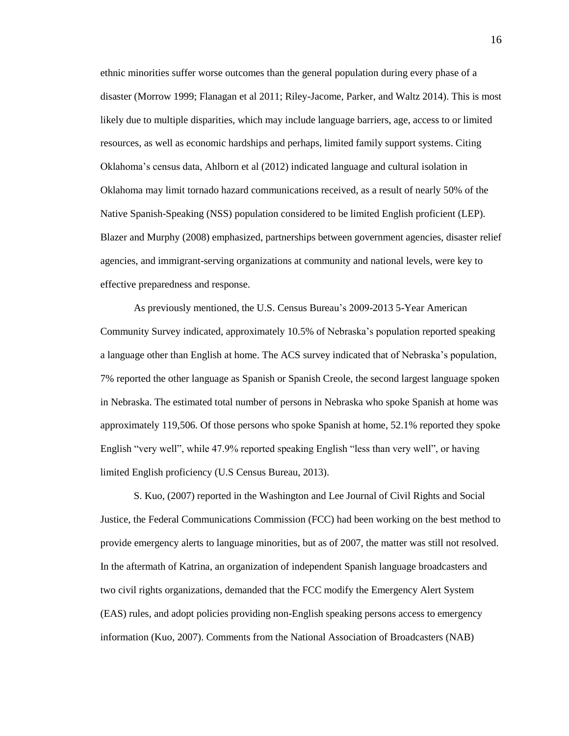ethnic minorities suffer worse outcomes than the general population during every phase of a disaster (Morrow 1999; Flanagan et al 2011; Riley-Jacome, Parker, and Waltz 2014). This is most likely due to multiple disparities, which may include language barriers, age, access to or limited resources, as well as economic hardships and perhaps, limited family support systems. Citing Oklahoma's census data, Ahlborn et al (2012) indicated language and cultural isolation in Oklahoma may limit tornado hazard communications received, as a result of nearly 50% of the Native Spanish-Speaking (NSS) population considered to be limited English proficient (LEP). Blazer and Murphy (2008) emphasized, partnerships between government agencies, disaster relief agencies, and immigrant-serving organizations at community and national levels, were key to effective preparedness and response.

As previously mentioned, the U.S. Census Bureau's 2009-2013 5-Year American Community Survey indicated, approximately 10.5% of Nebraska's population reported speaking a language other than English at home. The ACS survey indicated that of Nebraska's population, 7% reported the other language as Spanish or Spanish Creole, the second largest language spoken in Nebraska. The estimated total number of persons in Nebraska who spoke Spanish at home was approximately 119,506. Of those persons who spoke Spanish at home, 52.1% reported they spoke English "very well", while 47.9% reported speaking English "less than very well", or having limited English proficiency (U.S Census Bureau, 2013).

S. Kuo, (2007) reported in the Washington and Lee Journal of Civil Rights and Social Justice, the Federal Communications Commission (FCC) had been working on the best method to provide emergency alerts to language minorities, but as of 2007, the matter was still not resolved. In the aftermath of Katrina, an organization of independent Spanish language broadcasters and two civil rights organizations, demanded that the FCC modify the Emergency Alert System (EAS) rules, and adopt policies providing non-English speaking persons access to emergency information (Kuo, 2007). Comments from the National Association of Broadcasters (NAB)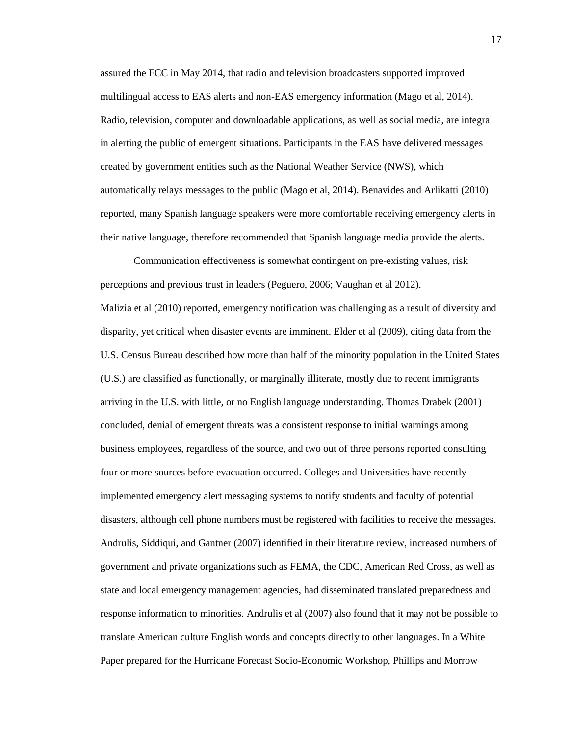assured the FCC in May 2014, that radio and television broadcasters supported improved multilingual access to EAS alerts and non-EAS emergency information (Mago et al, 2014). Radio, television, computer and downloadable applications, as well as social media, are integral in alerting the public of emergent situations. Participants in the EAS have delivered messages created by government entities such as the National Weather Service (NWS), which automatically relays messages to the public (Mago et al, 2014). Benavides and Arlikatti (2010) reported, many Spanish language speakers were more comfortable receiving emergency alerts in their native language, therefore recommended that Spanish language media provide the alerts.

Communication effectiveness is somewhat contingent on pre-existing values, risk perceptions and previous trust in leaders (Peguero, 2006; Vaughan et al 2012). Malizia et al (2010) reported, emergency notification was challenging as a result of diversity and disparity, yet critical when disaster events are imminent. Elder et al (2009), citing data from the U.S. Census Bureau described how more than half of the minority population in the United States (U.S.) are classified as functionally, or marginally illiterate, mostly due to recent immigrants arriving in the U.S. with little, or no English language understanding. Thomas Drabek (2001) concluded, denial of emergent threats was a consistent response to initial warnings among business employees, regardless of the source, and two out of three persons reported consulting four or more sources before evacuation occurred. Colleges and Universities have recently implemented emergency alert messaging systems to notify students and faculty of potential disasters, although cell phone numbers must be registered with facilities to receive the messages. Andrulis, Siddiqui, and Gantner (2007) identified in their literature review, increased numbers of government and private organizations such as FEMA, the CDC, American Red Cross, as well as state and local emergency management agencies, had disseminated translated preparedness and response information to minorities. Andrulis et al (2007) also found that it may not be possible to translate American culture English words and concepts directly to other languages. In a White Paper prepared for the Hurricane Forecast Socio-Economic Workshop, Phillips and Morrow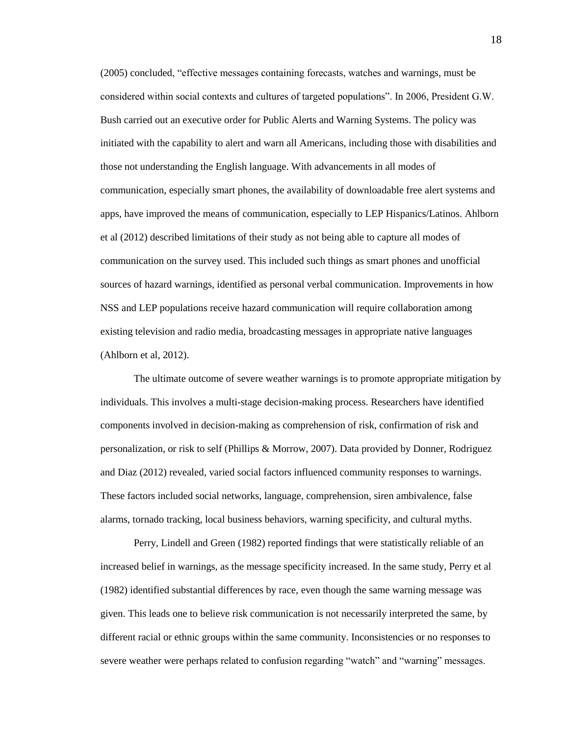(2005) concluded, "effective messages containing forecasts, watches and warnings, must be considered within social contexts and cultures of targeted populations". In 2006, President G.W. Bush carried out an executive order for Public Alerts and Warning Systems. The policy was initiated with the capability to alert and warn all Americans, including those with disabilities and those not understanding the English language. With advancements in all modes of communication, especially smart phones, the availability of downloadable free alert systems and apps, have improved the means of communication, especially to LEP Hispanics/Latinos. Ahlborn et al (2012) described limitations of their study as not being able to capture all modes of communication on the survey used. This included such things as smart phones and unofficial sources of hazard warnings, identified as personal verbal communication. Improvements in how NSS and LEP populations receive hazard communication will require collaboration among existing television and radio media, broadcasting messages in appropriate native languages (Ahlborn et al, 2012).

The ultimate outcome of severe weather warnings is to promote appropriate mitigation by individuals. This involves a multi-stage decision-making process. Researchers have identified components involved in decision-making as comprehension of risk, confirmation of risk and personalization, or risk to self (Phillips & Morrow, 2007). Data provided by Donner, Rodriguez and Diaz (2012) revealed, varied social factors influenced community responses to warnings. These factors included social networks, language, comprehension, siren ambivalence, false alarms, tornado tracking, local business behaviors, warning specificity, and cultural myths.

Perry, Lindell and Green (1982) reported findings that were statistically reliable of an increased belief in warnings, as the message specificity increased. In the same study, Perry et al (1982) identified substantial differences by race, even though the same warning message was given. This leads one to believe risk communication is not necessarily interpreted the same, by different racial or ethnic groups within the same community. Inconsistencies or no responses to severe weather were perhaps related to confusion regarding "watch" and "warning" messages.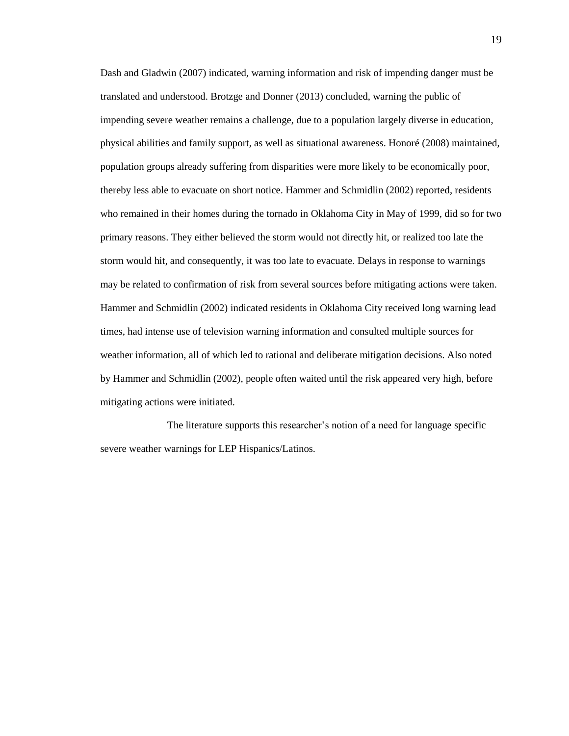Dash and Gladwin (2007) indicated, warning information and risk of impending danger must be translated and understood. Brotzge and Donner (2013) concluded, warning the public of impending severe weather remains a challenge, due to a population largely diverse in education, physical abilities and family support, as well as situational awareness. Honoré (2008) maintained, population groups already suffering from disparities were more likely to be economically poor, thereby less able to evacuate on short notice. Hammer and Schmidlin (2002) reported, residents who remained in their homes during the tornado in Oklahoma City in May of 1999, did so for two primary reasons. They either believed the storm would not directly hit, or realized too late the storm would hit, and consequently, it was too late to evacuate. Delays in response to warnings may be related to confirmation of risk from several sources before mitigating actions were taken. Hammer and Schmidlin (2002) indicated residents in Oklahoma City received long warning lead times, had intense use of television warning information and consulted multiple sources for weather information, all of which led to rational and deliberate mitigation decisions. Also noted by Hammer and Schmidlin (2002), people often waited until the risk appeared very high, before mitigating actions were initiated.

The literature supports this researcher's notion of a need for language specific severe weather warnings for LEP Hispanics/Latinos.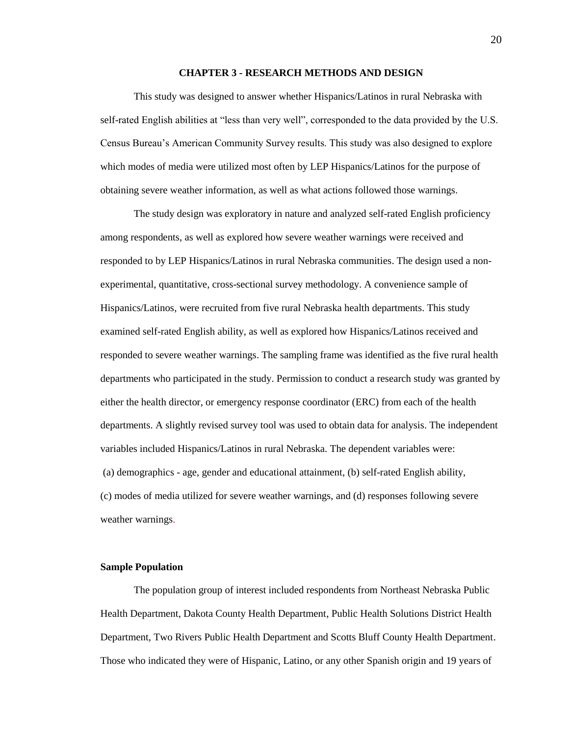# **CHAPTER 3 - RESEARCH METHODS AND DESIGN**

This study was designed to answer whether Hispanics/Latinos in rural Nebraska with self-rated English abilities at "less than very well", corresponded to the data provided by the U.S. Census Bureau's American Community Survey results. This study was also designed to explore which modes of media were utilized most often by LEP Hispanics/Latinos for the purpose of obtaining severe weather information, as well as what actions followed those warnings.

The study design was exploratory in nature and analyzed self-rated English proficiency among respondents, as well as explored how severe weather warnings were received and responded to by LEP Hispanics/Latinos in rural Nebraska communities. The design used a nonexperimental, quantitative, cross-sectional survey methodology. A convenience sample of Hispanics/Latinos, were recruited from five rural Nebraska health departments. This study examined self-rated English ability, as well as explored how Hispanics/Latinos received and responded to severe weather warnings. The sampling frame was identified as the five rural health departments who participated in the study. Permission to conduct a research study was granted by either the health director, or emergency response coordinator (ERC) from each of the health departments. A slightly revised survey tool was used to obtain data for analysis. The independent variables included Hispanics/Latinos in rural Nebraska. The dependent variables were: (a) demographics - age, gender and educational attainment, (b) self-rated English ability, (c) modes of media utilized for severe weather warnings, and (d) responses following severe weather warnings.

## **Sample Population**

The population group of interest included respondents from Northeast Nebraska Public Health Department, Dakota County Health Department, Public Health Solutions District Health Department, Two Rivers Public Health Department and Scotts Bluff County Health Department. Those who indicated they were of Hispanic, Latino, or any other Spanish origin and 19 years of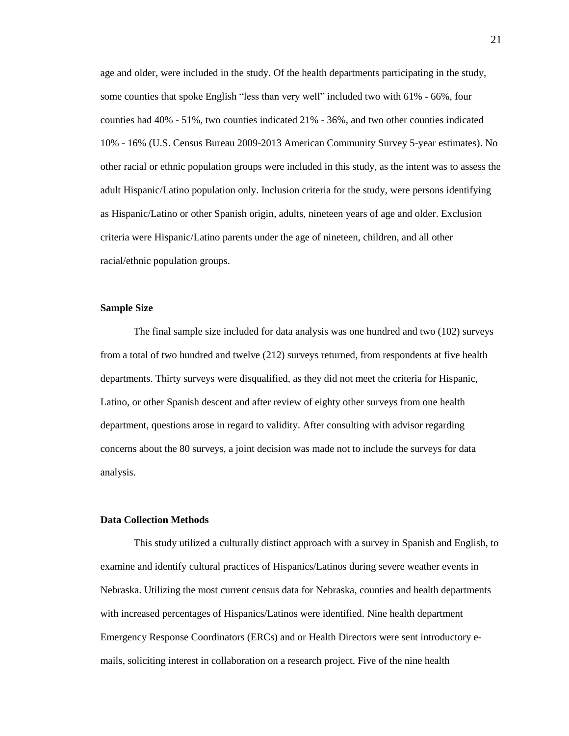age and older, were included in the study. Of the health departments participating in the study, some counties that spoke English "less than very well" included two with 61% - 66%, four counties had 40% - 51%, two counties indicated 21% - 36%, and two other counties indicated 10% - 16% (U.S. Census Bureau 2009-2013 American Community Survey 5-year estimates). No other racial or ethnic population groups were included in this study, as the intent was to assess the adult Hispanic/Latino population only. Inclusion criteria for the study, were persons identifying as Hispanic/Latino or other Spanish origin, adults, nineteen years of age and older. Exclusion criteria were Hispanic/Latino parents under the age of nineteen, children, and all other racial/ethnic population groups.

## **Sample Size**

The final sample size included for data analysis was one hundred and two (102) surveys from a total of two hundred and twelve (212) surveys returned, from respondents at five health departments. Thirty surveys were disqualified, as they did not meet the criteria for Hispanic, Latino, or other Spanish descent and after review of eighty other surveys from one health department, questions arose in regard to validity. After consulting with advisor regarding concerns about the 80 surveys, a joint decision was made not to include the surveys for data analysis.

## **Data Collection Methods**

This study utilized a culturally distinct approach with a survey in Spanish and English, to examine and identify cultural practices of Hispanics/Latinos during severe weather events in Nebraska. Utilizing the most current census data for Nebraska, counties and health departments with increased percentages of Hispanics/Latinos were identified. Nine health department Emergency Response Coordinators (ERCs) and or Health Directors were sent introductory emails, soliciting interest in collaboration on a research project. Five of the nine health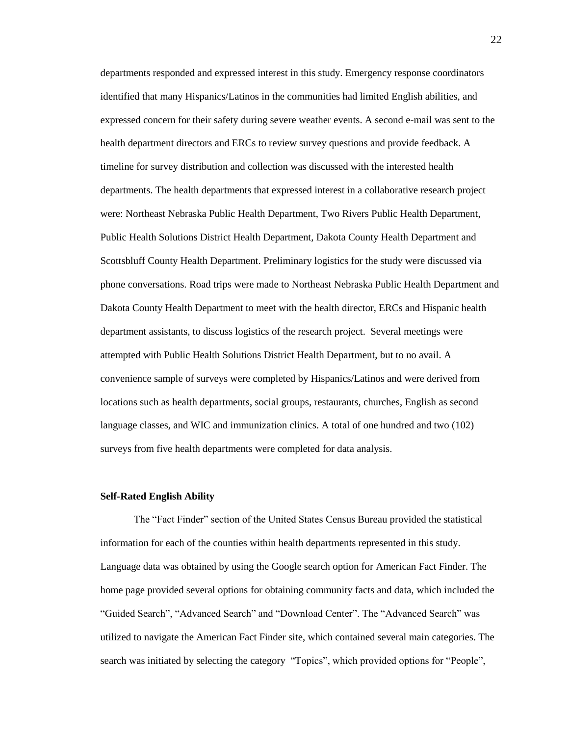departments responded and expressed interest in this study. Emergency response coordinators identified that many Hispanics/Latinos in the communities had limited English abilities, and expressed concern for their safety during severe weather events. A second e-mail was sent to the health department directors and ERCs to review survey questions and provide feedback. A timeline for survey distribution and collection was discussed with the interested health departments. The health departments that expressed interest in a collaborative research project were: Northeast Nebraska Public Health Department, Two Rivers Public Health Department, Public Health Solutions District Health Department, Dakota County Health Department and Scottsbluff County Health Department. Preliminary logistics for the study were discussed via phone conversations. Road trips were made to Northeast Nebraska Public Health Department and Dakota County Health Department to meet with the health director, ERCs and Hispanic health department assistants, to discuss logistics of the research project. Several meetings were attempted with Public Health Solutions District Health Department, but to no avail. A convenience sample of surveys were completed by Hispanics/Latinos and were derived from locations such as health departments, social groups, restaurants, churches, English as second language classes, and WIC and immunization clinics. A total of one hundred and two (102) surveys from five health departments were completed for data analysis.

#### **Self-Rated English Ability**

The "Fact Finder" section of the United States Census Bureau provided the statistical information for each of the counties within health departments represented in this study. Language data was obtained by using the Google search option for American Fact Finder. The home page provided several options for obtaining community facts and data, which included the "Guided Search", "Advanced Search" and "Download Center". The "Advanced Search" was utilized to navigate the American Fact Finder site, which contained several main categories. The search was initiated by selecting the category "Topics", which provided options for "People",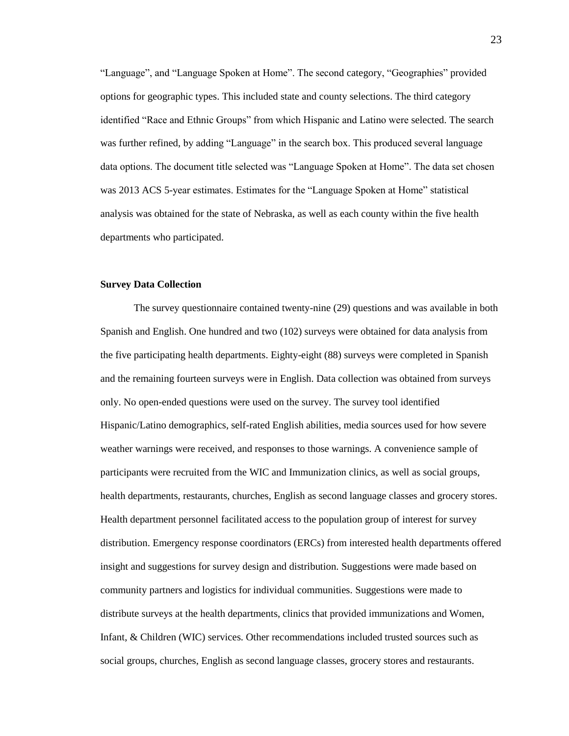"Language", and "Language Spoken at Home". The second category, "Geographies" provided options for geographic types. This included state and county selections. The third category identified "Race and Ethnic Groups" from which Hispanic and Latino were selected. The search was further refined, by adding "Language" in the search box. This produced several language data options. The document title selected was "Language Spoken at Home". The data set chosen was 2013 ACS 5-year estimates. Estimates for the "Language Spoken at Home" statistical analysis was obtained for the state of Nebraska, as well as each county within the five health departments who participated.

#### **Survey Data Collection**

The survey questionnaire contained twenty-nine (29) questions and was available in both Spanish and English. One hundred and two (102) surveys were obtained for data analysis from the five participating health departments. Eighty-eight (88) surveys were completed in Spanish and the remaining fourteen surveys were in English. Data collection was obtained from surveys only. No open-ended questions were used on the survey. The survey tool identified Hispanic/Latino demographics, self-rated English abilities, media sources used for how severe weather warnings were received, and responses to those warnings. A convenience sample of participants were recruited from the WIC and Immunization clinics, as well as social groups, health departments, restaurants, churches, English as second language classes and grocery stores. Health department personnel facilitated access to the population group of interest for survey distribution. Emergency response coordinators (ERCs) from interested health departments offered insight and suggestions for survey design and distribution. Suggestions were made based on community partners and logistics for individual communities. Suggestions were made to distribute surveys at the health departments, clinics that provided immunizations and Women, Infant, & Children (WIC) services. Other recommendations included trusted sources such as social groups, churches, English as second language classes, grocery stores and restaurants.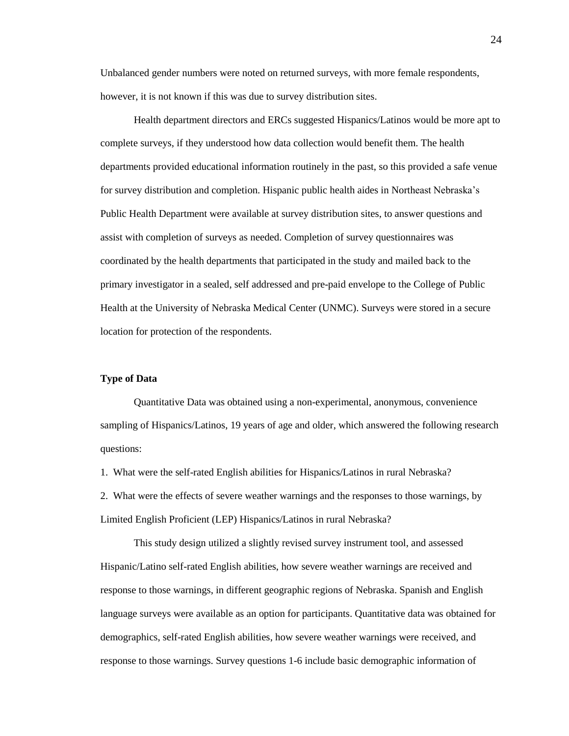Unbalanced gender numbers were noted on returned surveys, with more female respondents, however, it is not known if this was due to survey distribution sites.

Health department directors and ERCs suggested Hispanics/Latinos would be more apt to complete surveys, if they understood how data collection would benefit them. The health departments provided educational information routinely in the past, so this provided a safe venue for survey distribution and completion. Hispanic public health aides in Northeast Nebraska's Public Health Department were available at survey distribution sites, to answer questions and assist with completion of surveys as needed. Completion of survey questionnaires was coordinated by the health departments that participated in the study and mailed back to the primary investigator in a sealed, self addressed and pre-paid envelope to the College of Public Health at the University of Nebraska Medical Center (UNMC). Surveys were stored in a secure location for protection of the respondents.

## **Type of Data**

Quantitative Data was obtained using a non-experimental, anonymous, convenience sampling of Hispanics/Latinos, 19 years of age and older, which answered the following research questions:

1. What were the self-rated English abilities for Hispanics/Latinos in rural Nebraska?

2. What were the effects of severe weather warnings and the responses to those warnings, by Limited English Proficient (LEP) Hispanics/Latinos in rural Nebraska?

This study design utilized a slightly revised survey instrument tool, and assessed Hispanic/Latino self-rated English abilities, how severe weather warnings are received and response to those warnings, in different geographic regions of Nebraska. Spanish and English language surveys were available as an option for participants. Quantitative data was obtained for demographics, self-rated English abilities, how severe weather warnings were received, and response to those warnings. Survey questions 1-6 include basic demographic information of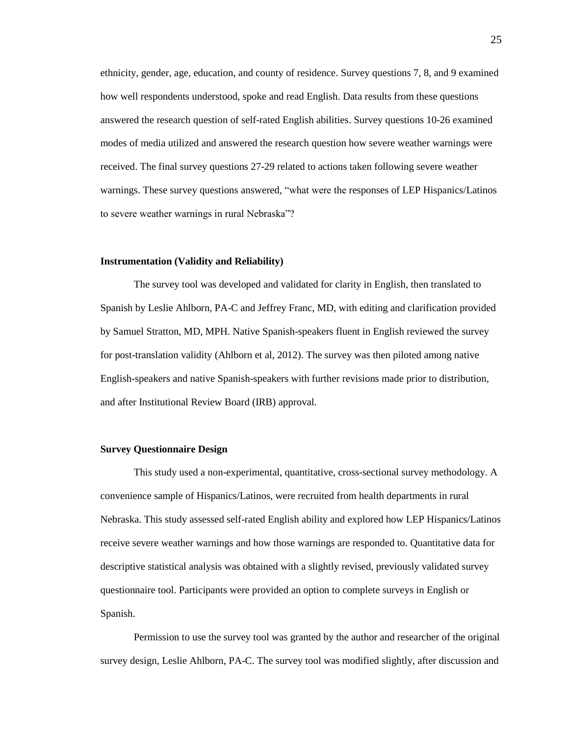ethnicity, gender, age, education, and county of residence. Survey questions 7, 8, and 9 examined how well respondents understood, spoke and read English. Data results from these questions answered the research question of self-rated English abilities. Survey questions 10-26 examined modes of media utilized and answered the research question how severe weather warnings were received. The final survey questions 27-29 related to actions taken following severe weather warnings. These survey questions answered, "what were the responses of LEP Hispanics/Latinos to severe weather warnings in rural Nebraska"?

#### **Instrumentation (Validity and Reliability)**

The survey tool was developed and validated for clarity in English, then translated to Spanish by Leslie Ahlborn, PA-C and Jeffrey Franc, MD, with editing and clarification provided by Samuel Stratton, MD, MPH. Native Spanish-speakers fluent in English reviewed the survey for post-translation validity (Ahlborn et al, 2012). The survey was then piloted among native English-speakers and native Spanish-speakers with further revisions made prior to distribution, and after Institutional Review Board (IRB) approval.

#### **Survey Questionnaire Design**

This study used a non-experimental, quantitative, cross-sectional survey methodology. A convenience sample of Hispanics/Latinos, were recruited from health departments in rural Nebraska. This study assessed self-rated English ability and explored how LEP Hispanics/Latinos receive severe weather warnings and how those warnings are responded to. Quantitative data for descriptive statistical analysis was obtained with a slightly revised, previously validated survey questionnaire tool. Participants were provided an option to complete surveys in English or Spanish.

Permission to use the survey tool was granted by the author and researcher of the original survey design, Leslie Ahlborn, PA-C. The survey tool was modified slightly, after discussion and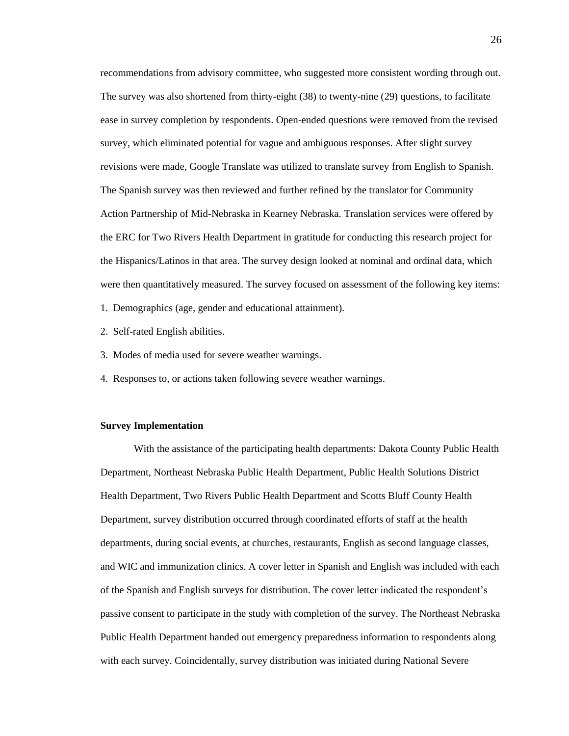recommendations from advisory committee, who suggested more consistent wording through out. The survey was also shortened from thirty-eight (38) to twenty-nine (29) questions, to facilitate ease in survey completion by respondents. Open-ended questions were removed from the revised survey, which eliminated potential for vague and ambiguous responses. After slight survey revisions were made, Google Translate was utilized to translate survey from English to Spanish. The Spanish survey was then reviewed and further refined by the translator for Community Action Partnership of Mid-Nebraska in Kearney Nebraska. Translation services were offered by the ERC for Two Rivers Health Department in gratitude for conducting this research project for the Hispanics/Latinos in that area. The survey design looked at nominal and ordinal data, which were then quantitatively measured. The survey focused on assessment of the following key items:

- 1. Demographics (age, gender and educational attainment).
- 2. Self-rated English abilities.
- 3. Modes of media used for severe weather warnings.
- 4. Responses to, or actions taken following severe weather warnings.

#### **Survey Implementation**

With the assistance of the participating health departments: Dakota County Public Health Department, Northeast Nebraska Public Health Department, Public Health Solutions District Health Department, Two Rivers Public Health Department and Scotts Bluff County Health Department, survey distribution occurred through coordinated efforts of staff at the health departments, during social events, at churches, restaurants, English as second language classes, and WIC and immunization clinics. A cover letter in Spanish and English was included with each of the Spanish and English surveys for distribution. The cover letter indicated the respondent's passive consent to participate in the study with completion of the survey. The Northeast Nebraska Public Health Department handed out emergency preparedness information to respondents along with each survey. Coincidentally, survey distribution was initiated during National Severe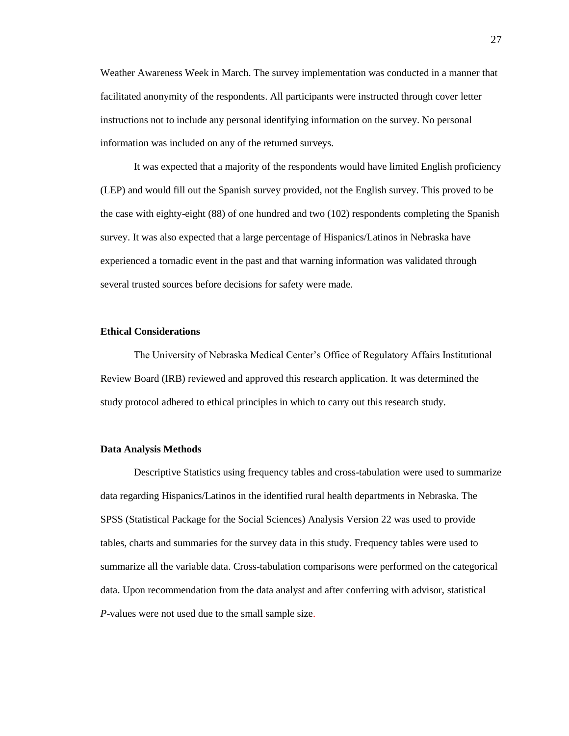Weather Awareness Week in March. The survey implementation was conducted in a manner that facilitated anonymity of the respondents. All participants were instructed through cover letter instructions not to include any personal identifying information on the survey. No personal information was included on any of the returned surveys.

It was expected that a majority of the respondents would have limited English proficiency (LEP) and would fill out the Spanish survey provided, not the English survey. This proved to be the case with eighty-eight (88) of one hundred and two (102) respondents completing the Spanish survey. It was also expected that a large percentage of Hispanics/Latinos in Nebraska have experienced a tornadic event in the past and that warning information was validated through several trusted sources before decisions for safety were made.

# **Ethical Considerations**

The University of Nebraska Medical Center's Office of Regulatory Affairs Institutional Review Board (IRB) reviewed and approved this research application. It was determined the study protocol adhered to ethical principles in which to carry out this research study.

#### **Data Analysis Methods**

Descriptive Statistics using frequency tables and cross-tabulation were used to summarize data regarding Hispanics/Latinos in the identified rural health departments in Nebraska. The SPSS (Statistical Package for the Social Sciences) Analysis Version 22 was used to provide tables, charts and summaries for the survey data in this study. Frequency tables were used to summarize all the variable data. Cross-tabulation comparisons were performed on the categorical data. Upon recommendation from the data analyst and after conferring with advisor, statistical *P*-values were not used due to the small sample size.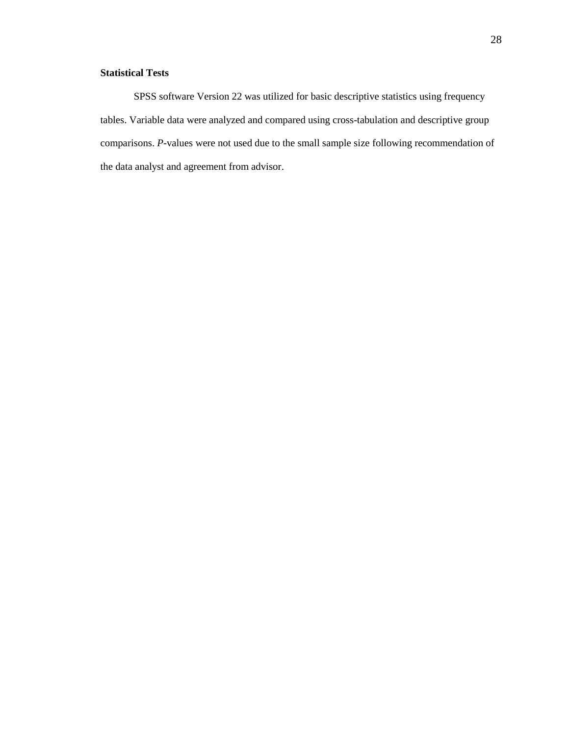# **Statistical Tests**

SPSS software Version 22 was utilized for basic descriptive statistics using frequency tables. Variable data were analyzed and compared using cross-tabulation and descriptive group comparisons. *P*-values were not used due to the small sample size following recommendation of the data analyst and agreement from advisor.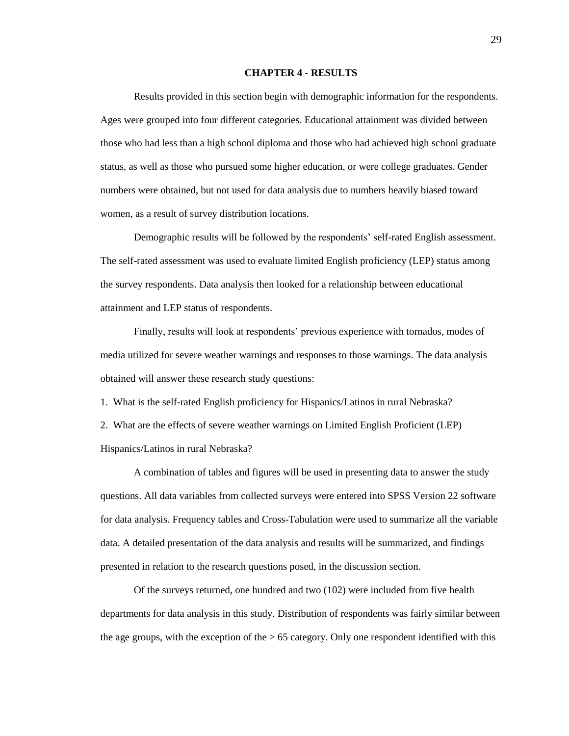#### **CHAPTER 4 - RESULTS**

Results provided in this section begin with demographic information for the respondents. Ages were grouped into four different categories. Educational attainment was divided between those who had less than a high school diploma and those who had achieved high school graduate status, as well as those who pursued some higher education, or were college graduates. Gender numbers were obtained, but not used for data analysis due to numbers heavily biased toward women, as a result of survey distribution locations.

Demographic results will be followed by the respondents' self-rated English assessment. The self-rated assessment was used to evaluate limited English proficiency (LEP) status among the survey respondents. Data analysis then looked for a relationship between educational attainment and LEP status of respondents.

Finally, results will look at respondents' previous experience with tornados, modes of media utilized for severe weather warnings and responses to those warnings. The data analysis obtained will answer these research study questions:

1. What is the self-rated English proficiency for Hispanics/Latinos in rural Nebraska?

2. What are the effects of severe weather warnings on Limited English Proficient (LEP) Hispanics/Latinos in rural Nebraska?

A combination of tables and figures will be used in presenting data to answer the study questions. All data variables from collected surveys were entered into SPSS Version 22 software for data analysis. Frequency tables and Cross-Tabulation were used to summarize all the variable data. A detailed presentation of the data analysis and results will be summarized, and findings presented in relation to the research questions posed, in the discussion section.

Of the surveys returned, one hundred and two (102) were included from five health departments for data analysis in this study. Distribution of respondents was fairly similar between the age groups, with the exception of the > 65 category. Only one respondent identified with this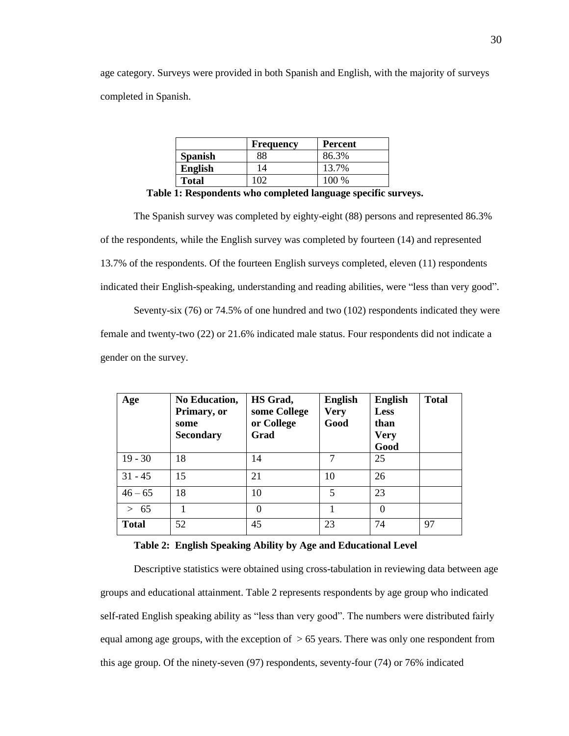age category. Surveys were provided in both Spanish and English, with the majority of surveys completed in Spanish.

|                | <b>Frequency</b> | Percent |
|----------------|------------------|---------|
| <b>Spanish</b> | 88               | 86.3%   |
| <b>English</b> | 14               | 13.7%   |
| <b>Total</b>   | $\Omega$         | 100 %   |

|  | Table 1: Respondents who completed language specific surveys. |
|--|---------------------------------------------------------------|
|  |                                                               |

The Spanish survey was completed by eighty-eight (88) persons and represented 86.3% of the respondents, while the English survey was completed by fourteen (14) and represented 13.7% of the respondents. Of the fourteen English surveys completed, eleven (11) respondents indicated their English-speaking, understanding and reading abilities, were "less than very good".

Seventy-six (76) or 74.5% of one hundred and two (102) respondents indicated they were female and twenty-two (22) or 21.6% indicated male status. Four respondents did not indicate a gender on the survey.

| Age          | <b>No Education,</b><br>Primary, or<br>some<br><b>Secondary</b> | HS Grad,<br>some College<br>or College<br>Grad | <b>English</b><br><b>Very</b><br>Good | <b>English</b><br><b>Less</b><br>than<br><b>Very</b><br>Good | <b>Total</b> |
|--------------|-----------------------------------------------------------------|------------------------------------------------|---------------------------------------|--------------------------------------------------------------|--------------|
| $19 - 30$    | 18                                                              | 14                                             | 7                                     | 25                                                           |              |
| $31 - 45$    | 15                                                              | 21                                             | 10                                    | 26                                                           |              |
| $46 - 65$    | 18                                                              | 10                                             | 5                                     | 23                                                           |              |
| 65<br>$\geq$ |                                                                 | 0                                              |                                       | 0                                                            |              |
| <b>Total</b> | 52                                                              | 45                                             | 23                                    | 74                                                           | 97           |

## **Table 2: English Speaking Ability by Age and Educational Level**

Descriptive statistics were obtained using cross-tabulation in reviewing data between age groups and educational attainment. Table 2 represents respondents by age group who indicated self-rated English speaking ability as "less than very good". The numbers were distributed fairly equal among age groups, with the exception of  $> 65$  years. There was only one respondent from this age group. Of the ninety-seven (97) respondents, seventy-four (74) or 76% indicated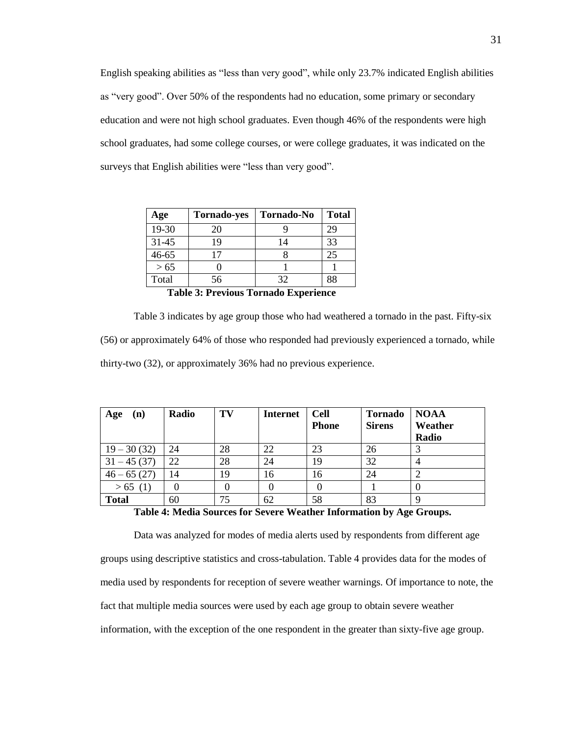English speaking abilities as "less than very good", while only 23.7% indicated English abilities as "very good". Over 50% of the respondents had no education, some primary or secondary education and were not high school graduates. Even though 46% of the respondents were high school graduates, had some college courses, or were college graduates, it was indicated on the surveys that English abilities were "less than very good".

| Age       | <b>Tornado-yes</b> | <b>Tornado-No</b> | <b>Total</b> |
|-----------|--------------------|-------------------|--------------|
| 19-30     | 20                 |                   | 29           |
| $31 - 45$ | 19                 |                   | 33           |
| $46 - 65$ |                    |                   | 25           |
| $>65$     |                    |                   |              |
| Total     | 56                 | 32                | 88           |

**Table 3: Previous Tornado Experience**

Table 3 indicates by age group those who had weathered a tornado in the past. Fifty-six (56) or approximately 64% of those who responded had previously experienced a tornado, while thirty-two (32), or approximately 36% had no previous experience.

| Age<br>(n)    | Radio | TV | <b>Internet</b> | <b>Cell</b><br><b>Phone</b> | <b>Tornado</b><br><b>Sirens</b> | <b>NOAA</b><br>Weather<br>Radio |
|---------------|-------|----|-----------------|-----------------------------|---------------------------------|---------------------------------|
| $19 - 30(32)$ | 24    | 28 | 22              | 23                          | 26                              |                                 |
| $31 - 45(37)$ | 22    | 28 | 24              | 19                          | 32                              | 4                               |
| $46 - 65(27)$ | 14    | 19 | 16              | 16                          | 24                              |                                 |
| > 65(1)       |       |    |                 |                             |                                 | $\theta$                        |
| <b>Total</b>  | 60    | 75 | 62              | 58                          | 83                              | 9                               |

**Table 4: Media Sources for Severe Weather Information by Age Groups.**

Data was analyzed for modes of media alerts used by respondents from different age groups using descriptive statistics and cross-tabulation. Table 4 provides data for the modes of media used by respondents for reception of severe weather warnings. Of importance to note, the fact that multiple media sources were used by each age group to obtain severe weather information, with the exception of the one respondent in the greater than sixty-five age group.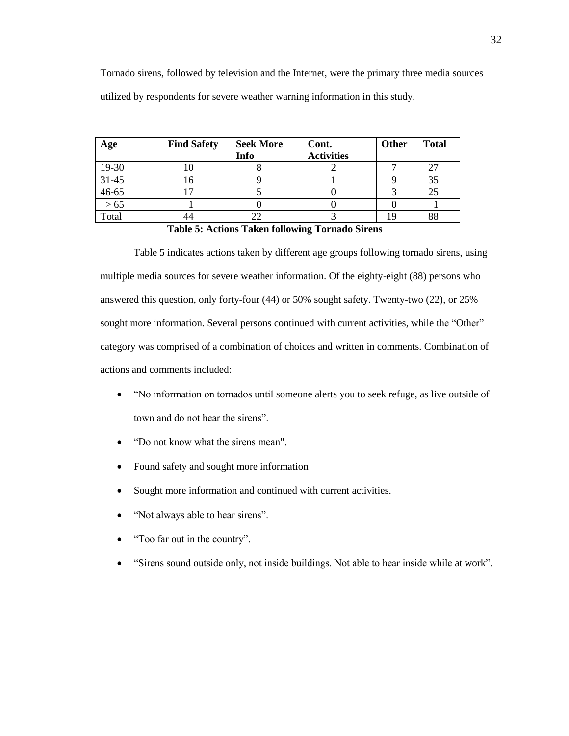| Age     | <b>Find Safety</b> | <b>Seek More</b> | Cont.             | Other | <b>Total</b> |
|---------|--------------------|------------------|-------------------|-------|--------------|
|         |                    | Info             | <b>Activities</b> |       |              |
| 19-30   |                    |                  |                   |       |              |
| $31-45$ |                    |                  |                   |       |              |
| 46-65   |                    |                  |                   |       |              |
| $>65$   |                    |                  |                   |       |              |
| Total   |                    |                  |                   | 10    | 88           |

**Table 5: Actions Taken following Tornado Sirens**

Table 5 indicates actions taken by different age groups following tornado sirens, using multiple media sources for severe weather information. Of the eighty-eight (88) persons who answered this question, only forty-four (44) or 50% sought safety. Twenty-two (22), or 25% sought more information. Several persons continued with current activities, while the "Other" category was comprised of a combination of choices and written in comments. Combination of actions and comments included:

- "No information on tornados until someone alerts you to seek refuge, as live outside of town and do not hear the sirens".
- "Do not know what the sirens mean".
- Found safety and sought more information
- Sought more information and continued with current activities.
- "Not always able to hear sirens".
- "Too far out in the country".
- "Sirens sound outside only, not inside buildings. Not able to hear inside while at work".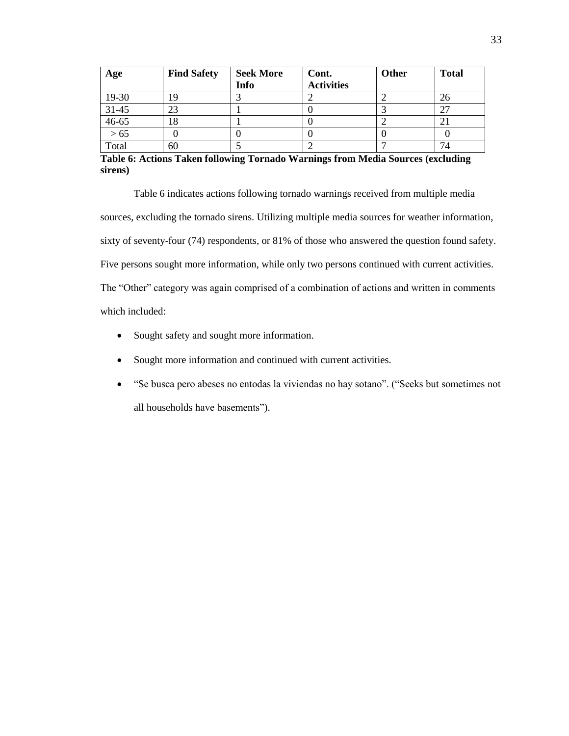| Age       | <b>Find Safety</b> | <b>Seek More</b><br>Info | Cont.<br><b>Activities</b> | Other | <b>Total</b> |
|-----------|--------------------|--------------------------|----------------------------|-------|--------------|
| 19-30     | 19                 |                          |                            |       | 26           |
| $31 - 45$ | 23                 |                          |                            |       | 27           |
| $46 - 65$ | 18                 |                          |                            |       | $\angle 1$   |
| $>65$     |                    |                          |                            |       |              |
| Total     | 60                 |                          |                            |       | 74           |

**Table 6: Actions Taken following Tornado Warnings from Media Sources (excluding sirens)**

Table 6 indicates actions following tornado warnings received from multiple media sources, excluding the tornado sirens. Utilizing multiple media sources for weather information, sixty of seventy-four (74) respondents, or 81% of those who answered the question found safety. Five persons sought more information, while only two persons continued with current activities. The "Other" category was again comprised of a combination of actions and written in comments which included:

- Sought safety and sought more information.
- Sought more information and continued with current activities.
- "Se busca pero abeses no entodas la viviendas no hay sotano". ("Seeks but sometimes not all households have basements").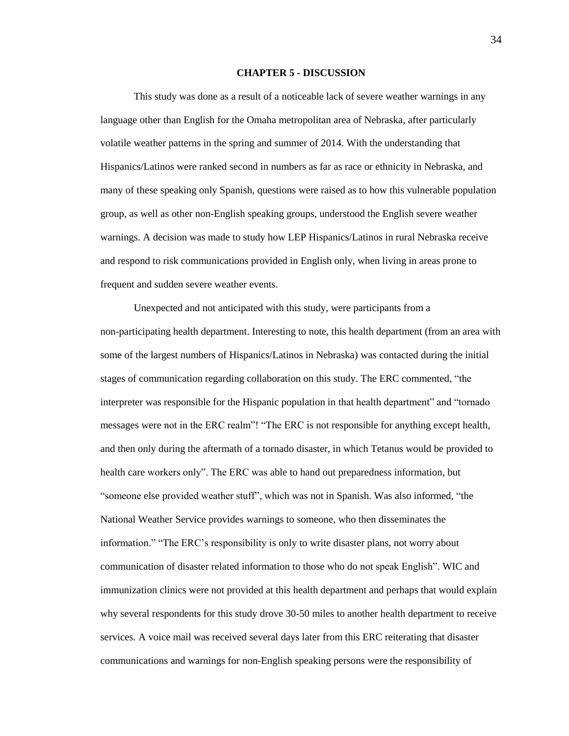#### **CHAPTER 5 - DISCUSSION**

This study was done as a result of a noticeable lack of severe weather warnings in any language other than English for the Omaha metropolitan area of Nebraska, after particularly volatile weather patterns in the spring and summer of 2014. With the understanding that Hispanics/Latinos were ranked second in numbers as far as race or ethnicity in Nebraska, and many of these speaking only Spanish, questions were raised as to how this vulnerable population group, as well as other non-English speaking groups, understood the English severe weather warnings. A decision was made to study how LEP Hispanics/Latinos in rural Nebraska receive and respond to risk communications provided in English only, when living in areas prone to frequent and sudden severe weather events.

Unexpected and not anticipated with this study, were participants from a non-participating health department. Interesting to note, this health department (from an area with some of the largest numbers of Hispanics/Latinos in Nebraska) was contacted during the initial stages of communication regarding collaboration on this study. The ERC commented, "the interpreter was responsible for the Hispanic population in that health department" and "tornado messages were not in the ERC realm"! "The ERC is not responsible for anything except health, and then only during the aftermath of a tornado disaster, in which Tetanus would be provided to health care workers only". The ERC was able to hand out preparedness information, but "someone else provided weather stuff", which was not in Spanish. Was also informed, "the National Weather Service provides warnings to someone, who then disseminates the information." "The ERC's responsibility is only to write disaster plans, not worry about communication of disaster related information to those who do not speak English". WIC and immunization clinics were not provided at this health department and perhaps that would explain why several respondents for this study drove 30-50 miles to another health department to receive services. A voice mail was received several days later from this ERC reiterating that disaster communications and warnings for non-English speaking persons were the responsibility of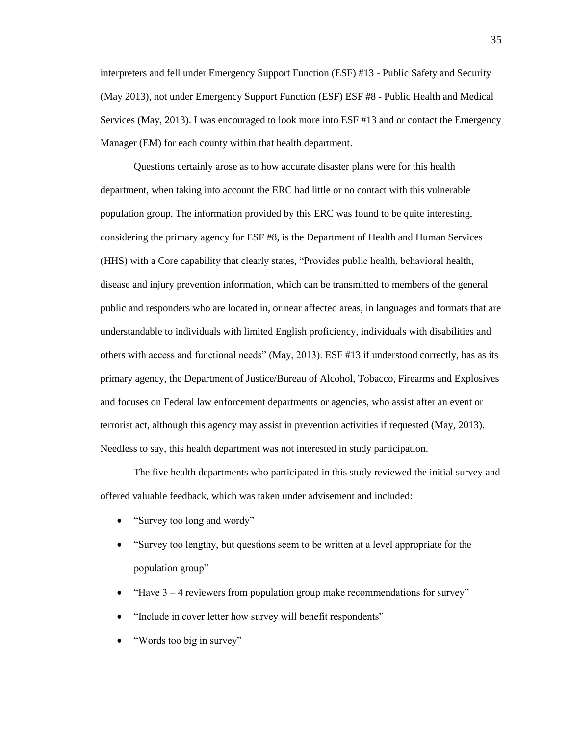interpreters and fell under Emergency Support Function (ESF) #13 - Public Safety and Security (May 2013), not under Emergency Support Function (ESF) ESF #8 - Public Health and Medical Services (May, 2013). I was encouraged to look more into ESF #13 and or contact the Emergency Manager (EM) for each county within that health department.

Questions certainly arose as to how accurate disaster plans were for this health department, when taking into account the ERC had little or no contact with this vulnerable population group. The information provided by this ERC was found to be quite interesting, considering the primary agency for ESF #8, is the Department of Health and Human Services (HHS) with a Core capability that clearly states, "Provides public health, behavioral health, disease and injury prevention information, which can be transmitted to members of the general public and responders who are located in, or near affected areas, in languages and formats that are understandable to individuals with limited English proficiency, individuals with disabilities and others with access and functional needs" (May, 2013). ESF #13 if understood correctly, has as its primary agency, the Department of Justice/Bureau of Alcohol, Tobacco, Firearms and Explosives and focuses on Federal law enforcement departments or agencies, who assist after an event or terrorist act, although this agency may assist in prevention activities if requested (May, 2013). Needless to say, this health department was not interested in study participation.

The five health departments who participated in this study reviewed the initial survey and offered valuable feedback, which was taken under advisement and included:

- "Survey too long and wordy"
- "Survey too lengthy, but questions seem to be written at a level appropriate for the population group"
- $\bullet$  "Have 3 4 reviewers from population group make recommendations for survey"
- "Include in cover letter how survey will benefit respondents"
- "Words too big in survey"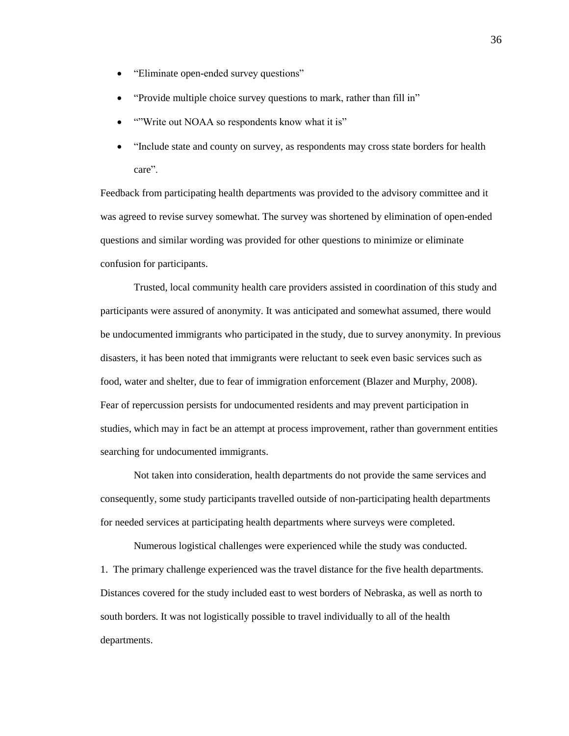- "Eliminate open-ended survey questions"
- "Provide multiple choice survey questions to mark, rather than fill in"
- ""Write out NOAA so respondents know what it is"
- "Include state and county on survey, as respondents may cross state borders for health care".

Feedback from participating health departments was provided to the advisory committee and it was agreed to revise survey somewhat. The survey was shortened by elimination of open-ended questions and similar wording was provided for other questions to minimize or eliminate confusion for participants.

Trusted, local community health care providers assisted in coordination of this study and participants were assured of anonymity. It was anticipated and somewhat assumed, there would be undocumented immigrants who participated in the study, due to survey anonymity. In previous disasters, it has been noted that immigrants were reluctant to seek even basic services such as food, water and shelter, due to fear of immigration enforcement (Blazer and Murphy, 2008). Fear of repercussion persists for undocumented residents and may prevent participation in studies, which may in fact be an attempt at process improvement, rather than government entities searching for undocumented immigrants.

Not taken into consideration, health departments do not provide the same services and consequently, some study participants travelled outside of non-participating health departments for needed services at participating health departments where surveys were completed.

Numerous logistical challenges were experienced while the study was conducted. 1. The primary challenge experienced was the travel distance for the five health departments. Distances covered for the study included east to west borders of Nebraska, as well as north to south borders. It was not logistically possible to travel individually to all of the health departments.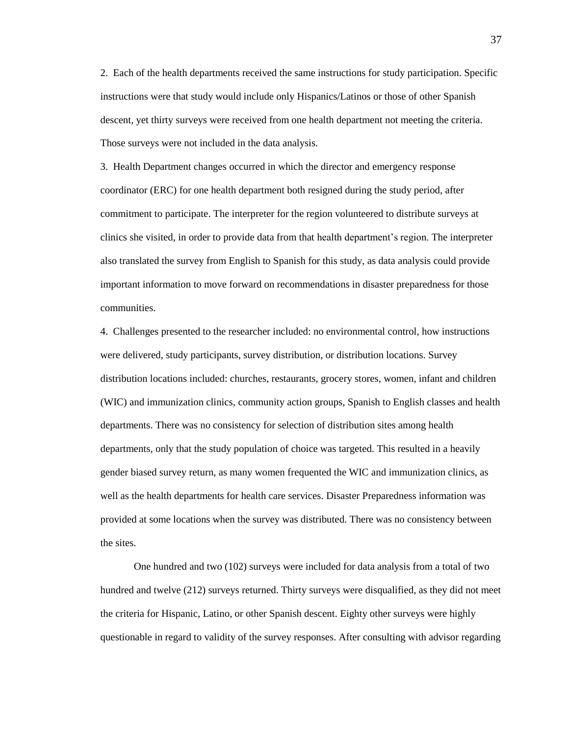2. Each of the health departments received the same instructions for study participation. Specific instructions were that study would include only Hispanics/Latinos or those of other Spanish descent, yet thirty surveys were received from one health department not meeting the criteria. Those surveys were not included in the data analysis.

3. Health Department changes occurred in which the director and emergency response coordinator (ERC) for one health department both resigned during the study period, after commitment to participate. The interpreter for the region volunteered to distribute surveys at clinics she visited, in order to provide data from that health department's region. The interpreter also translated the survey from English to Spanish for this study, as data analysis could provide important information to move forward on recommendations in disaster preparedness for those communities.

4. Challenges presented to the researcher included: no environmental control, how instructions were delivered, study participants, survey distribution, or distribution locations. Survey distribution locations included: churches, restaurants, grocery stores, women, infant and children (WIC) and immunization clinics, community action groups, Spanish to English classes and health departments. There was no consistency for selection of distribution sites among health departments, only that the study population of choice was targeted. This resulted in a heavily gender biased survey return, as many women frequented the WIC and immunization clinics, as well as the health departments for health care services. Disaster Preparedness information was provided at some locations when the survey was distributed. There was no consistency between the sites.

One hundred and two (102) surveys were included for data analysis from a total of two hundred and twelve (212) surveys returned. Thirty surveys were disqualified, as they did not meet the criteria for Hispanic, Latino, or other Spanish descent. Eighty other surveys were highly questionable in regard to validity of the survey responses. After consulting with advisor regarding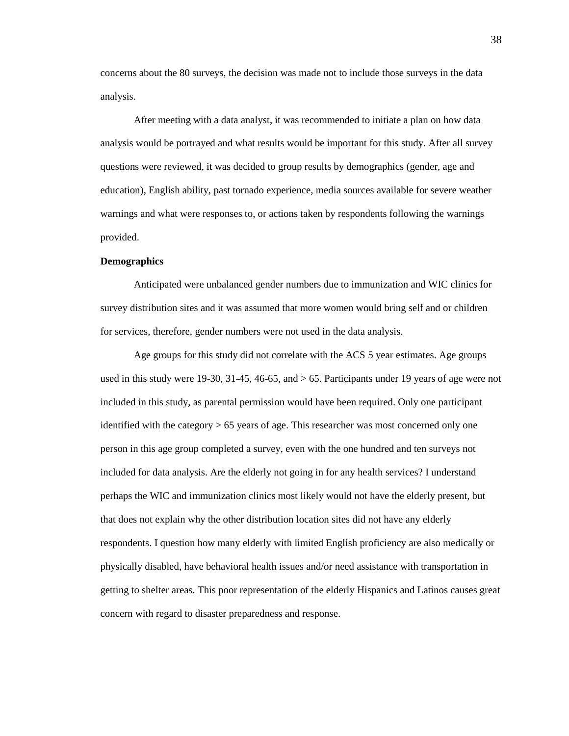concerns about the 80 surveys, the decision was made not to include those surveys in the data analysis.

After meeting with a data analyst, it was recommended to initiate a plan on how data analysis would be portrayed and what results would be important for this study. After all survey questions were reviewed, it was decided to group results by demographics (gender, age and education), English ability, past tornado experience, media sources available for severe weather warnings and what were responses to, or actions taken by respondents following the warnings provided.

# **Demographics**

Anticipated were unbalanced gender numbers due to immunization and WIC clinics for survey distribution sites and it was assumed that more women would bring self and or children for services, therefore, gender numbers were not used in the data analysis.

Age groups for this study did not correlate with the ACS 5 year estimates. Age groups used in this study were 19-30, 31-45, 46-65, and  $> 65$ . Participants under 19 years of age were not included in this study, as parental permission would have been required. Only one participant identified with the category > 65 years of age. This researcher was most concerned only one person in this age group completed a survey, even with the one hundred and ten surveys not included for data analysis. Are the elderly not going in for any health services? I understand perhaps the WIC and immunization clinics most likely would not have the elderly present, but that does not explain why the other distribution location sites did not have any elderly respondents. I question how many elderly with limited English proficiency are also medically or physically disabled, have behavioral health issues and/or need assistance with transportation in getting to shelter areas. This poor representation of the elderly Hispanics and Latinos causes great concern with regard to disaster preparedness and response.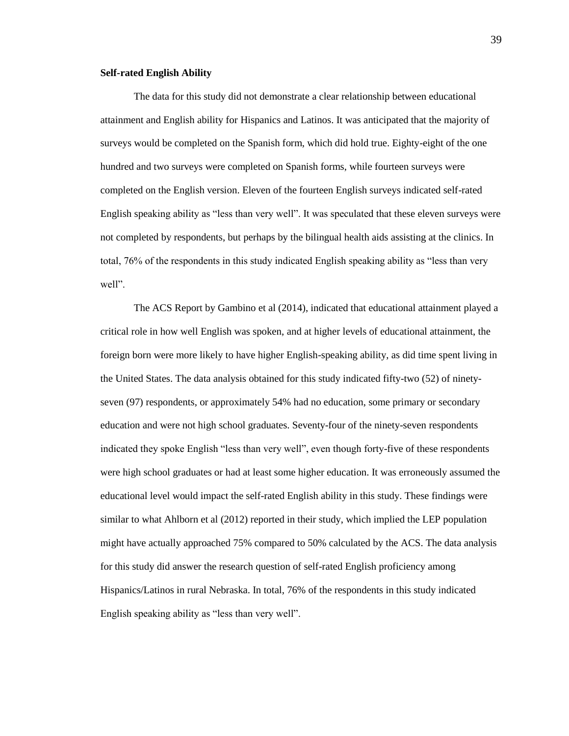### **Self-rated English Ability**

The data for this study did not demonstrate a clear relationship between educational attainment and English ability for Hispanics and Latinos. It was anticipated that the majority of surveys would be completed on the Spanish form, which did hold true. Eighty-eight of the one hundred and two surveys were completed on Spanish forms, while fourteen surveys were completed on the English version. Eleven of the fourteen English surveys indicated self-rated English speaking ability as "less than very well". It was speculated that these eleven surveys were not completed by respondents, but perhaps by the bilingual health aids assisting at the clinics. In total, 76% of the respondents in this study indicated English speaking ability as "less than very well".

The ACS Report by Gambino et al (2014), indicated that educational attainment played a critical role in how well English was spoken, and at higher levels of educational attainment, the foreign born were more likely to have higher English-speaking ability, as did time spent living in the United States. The data analysis obtained for this study indicated fifty-two (52) of ninetyseven (97) respondents, or approximately 54% had no education, some primary or secondary education and were not high school graduates. Seventy-four of the ninety-seven respondents indicated they spoke English "less than very well", even though forty-five of these respondents were high school graduates or had at least some higher education. It was erroneously assumed the educational level would impact the self-rated English ability in this study. These findings were similar to what Ahlborn et al (2012) reported in their study, which implied the LEP population might have actually approached 75% compared to 50% calculated by the ACS. The data analysis for this study did answer the research question of self-rated English proficiency among Hispanics/Latinos in rural Nebraska. In total, 76% of the respondents in this study indicated English speaking ability as "less than very well".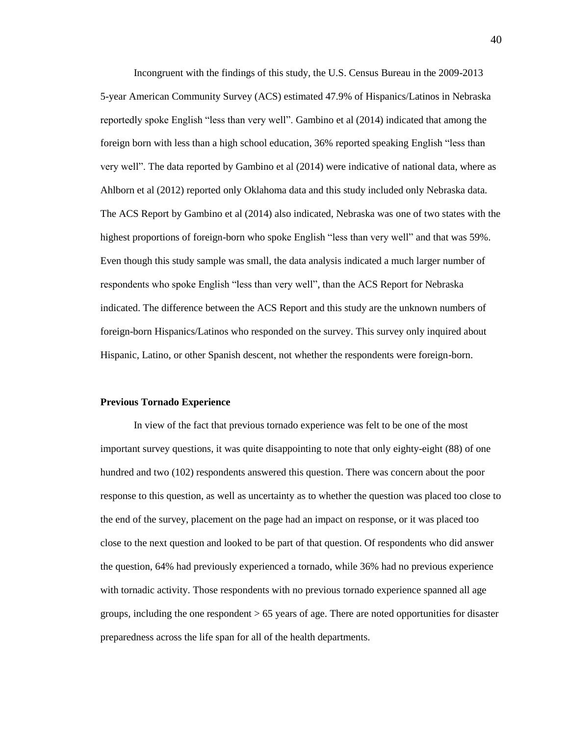Incongruent with the findings of this study, the U.S. Census Bureau in the 2009-2013 5-year American Community Survey (ACS) estimated 47.9% of Hispanics/Latinos in Nebraska reportedly spoke English "less than very well". Gambino et al (2014) indicated that among the foreign born with less than a high school education, 36% reported speaking English "less than very well". The data reported by Gambino et al (2014) were indicative of national data, where as Ahlborn et al (2012) reported only Oklahoma data and this study included only Nebraska data. The ACS Report by Gambino et al (2014) also indicated, Nebraska was one of two states with the highest proportions of foreign-born who spoke English "less than very well" and that was 59%. Even though this study sample was small, the data analysis indicated a much larger number of respondents who spoke English "less than very well", than the ACS Report for Nebraska indicated. The difference between the ACS Report and this study are the unknown numbers of foreign-born Hispanics/Latinos who responded on the survey. This survey only inquired about Hispanic, Latino, or other Spanish descent, not whether the respondents were foreign-born.

#### **Previous Tornado Experience**

In view of the fact that previous tornado experience was felt to be one of the most important survey questions, it was quite disappointing to note that only eighty-eight (88) of one hundred and two (102) respondents answered this question. There was concern about the poor response to this question, as well as uncertainty as to whether the question was placed too close to the end of the survey, placement on the page had an impact on response, or it was placed too close to the next question and looked to be part of that question. Of respondents who did answer the question, 64% had previously experienced a tornado, while 36% had no previous experience with tornadic activity. Those respondents with no previous tornado experience spanned all age groups, including the one respondent  $> 65$  years of age. There are noted opportunities for disaster preparedness across the life span for all of the health departments.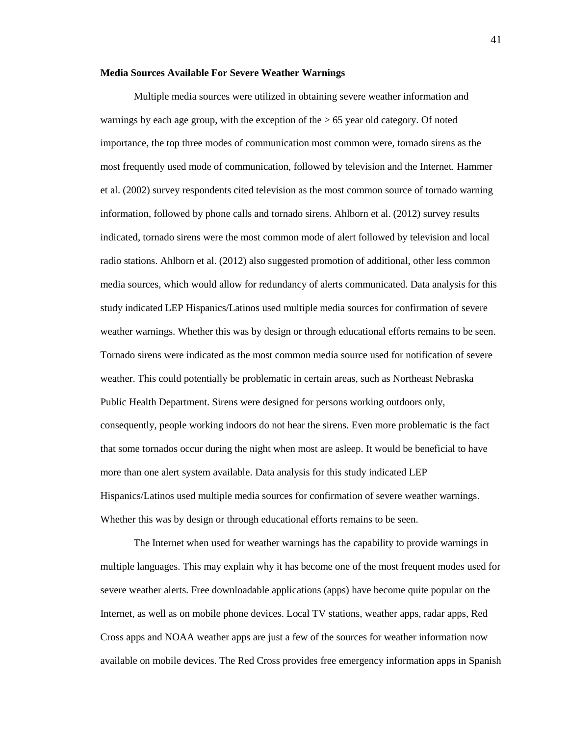#### **Media Sources Available For Severe Weather Warnings**

Multiple media sources were utilized in obtaining severe weather information and warnings by each age group, with the exception of the > 65 year old category. Of noted importance, the top three modes of communication most common were, tornado sirens as the most frequently used mode of communication, followed by television and the Internet. Hammer et al. (2002) survey respondents cited television as the most common source of tornado warning information, followed by phone calls and tornado sirens. Ahlborn et al. (2012) survey results indicated, tornado sirens were the most common mode of alert followed by television and local radio stations. Ahlborn et al. (2012) also suggested promotion of additional, other less common media sources, which would allow for redundancy of alerts communicated. Data analysis for this study indicated LEP Hispanics/Latinos used multiple media sources for confirmation of severe weather warnings. Whether this was by design or through educational efforts remains to be seen. Tornado sirens were indicated as the most common media source used for notification of severe weather. This could potentially be problematic in certain areas, such as Northeast Nebraska Public Health Department. Sirens were designed for persons working outdoors only, consequently, people working indoors do not hear the sirens. Even more problematic is the fact that some tornados occur during the night when most are asleep. It would be beneficial to have more than one alert system available. Data analysis for this study indicated LEP Hispanics/Latinos used multiple media sources for confirmation of severe weather warnings. Whether this was by design or through educational efforts remains to be seen.

The Internet when used for weather warnings has the capability to provide warnings in multiple languages. This may explain why it has become one of the most frequent modes used for severe weather alerts. Free downloadable applications (apps) have become quite popular on the Internet, as well as on mobile phone devices. Local TV stations, weather apps, radar apps, Red Cross apps and NOAA weather apps are just a few of the sources for weather information now available on mobile devices. The Red Cross provides free emergency information apps in Spanish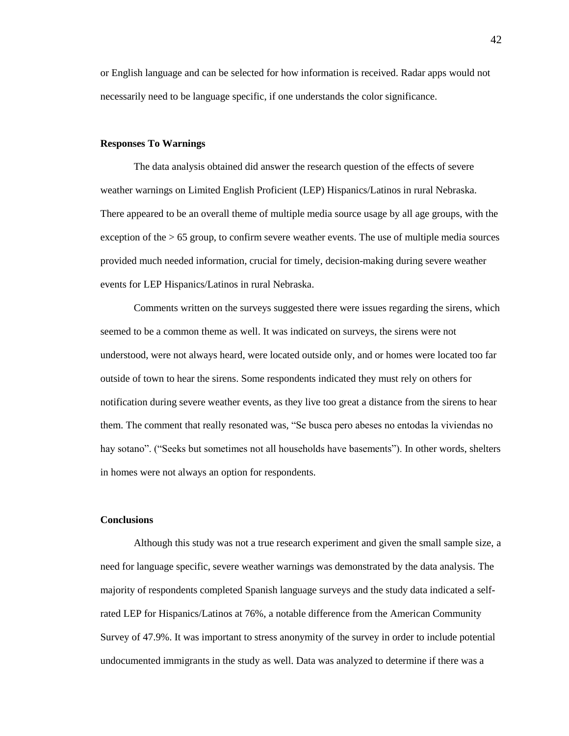or English language and can be selected for how information is received. Radar apps would not necessarily need to be language specific, if one understands the color significance.

#### **Responses To Warnings**

The data analysis obtained did answer the research question of the effects of severe weather warnings on Limited English Proficient (LEP) Hispanics/Latinos in rural Nebraska. There appeared to be an overall theme of multiple media source usage by all age groups, with the exception of the > 65 group, to confirm severe weather events. The use of multiple media sources provided much needed information, crucial for timely, decision-making during severe weather events for LEP Hispanics/Latinos in rural Nebraska.

Comments written on the surveys suggested there were issues regarding the sirens, which seemed to be a common theme as well. It was indicated on surveys, the sirens were not understood, were not always heard, were located outside only, and or homes were located too far outside of town to hear the sirens. Some respondents indicated they must rely on others for notification during severe weather events, as they live too great a distance from the sirens to hear them. The comment that really resonated was, "Se busca pero abeses no entodas la viviendas no hay sotano". ("Seeks but sometimes not all households have basements"). In other words, shelters in homes were not always an option for respondents.

## **Conclusions**

Although this study was not a true research experiment and given the small sample size, a need for language specific, severe weather warnings was demonstrated by the data analysis. The majority of respondents completed Spanish language surveys and the study data indicated a selfrated LEP for Hispanics/Latinos at 76%, a notable difference from the American Community Survey of 47.9%. It was important to stress anonymity of the survey in order to include potential undocumented immigrants in the study as well. Data was analyzed to determine if there was a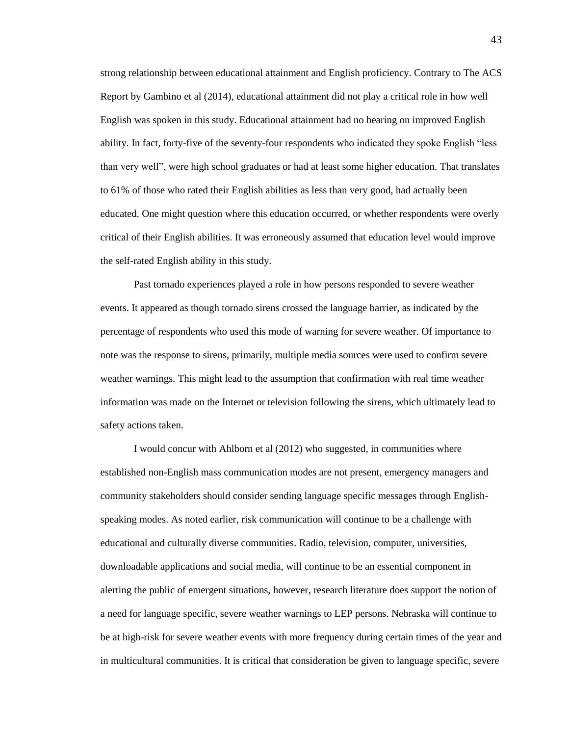strong relationship between educational attainment and English proficiency. Contrary to The ACS Report by Gambino et al (2014), educational attainment did not play a critical role in how well English was spoken in this study. Educational attainment had no bearing on improved English ability. In fact, forty-five of the seventy-four respondents who indicated they spoke English "less than very well", were high school graduates or had at least some higher education. That translates to 61% of those who rated their English abilities as less than very good, had actually been educated. One might question where this education occurred, or whether respondents were overly critical of their English abilities. It was erroneously assumed that education level would improve the self-rated English ability in this study.

Past tornado experiences played a role in how persons responded to severe weather events. It appeared as though tornado sirens crossed the language barrier, as indicated by the percentage of respondents who used this mode of warning for severe weather. Of importance to note was the response to sirens, primarily, multiple media sources were used to confirm severe weather warnings. This might lead to the assumption that confirmation with real time weather information was made on the Internet or television following the sirens, which ultimately lead to safety actions taken.

I would concur with Ahlborn et al (2012) who suggested, in communities where established non-English mass communication modes are not present, emergency managers and community stakeholders should consider sending language specific messages through Englishspeaking modes. As noted earlier, risk communication will continue to be a challenge with educational and culturally diverse communities. Radio, television, computer, universities, downloadable applications and social media, will continue to be an essential component in alerting the public of emergent situations, however, research literature does support the notion of a need for language specific, severe weather warnings to LEP persons. Nebraska will continue to be at high-risk for severe weather events with more frequency during certain times of the year and in multicultural communities. It is critical that consideration be given to language specific, severe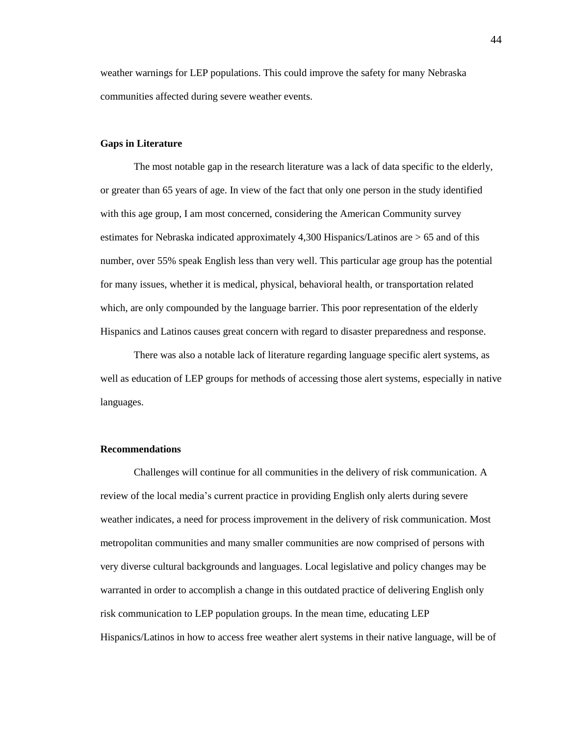weather warnings for LEP populations. This could improve the safety for many Nebraska communities affected during severe weather events.

#### **Gaps in Literature**

The most notable gap in the research literature was a lack of data specific to the elderly, or greater than 65 years of age. In view of the fact that only one person in the study identified with this age group, I am most concerned, considering the American Community survey estimates for Nebraska indicated approximately 4,300 Hispanics/Latinos are > 65 and of this number, over 55% speak English less than very well. This particular age group has the potential for many issues, whether it is medical, physical, behavioral health, or transportation related which, are only compounded by the language barrier. This poor representation of the elderly Hispanics and Latinos causes great concern with regard to disaster preparedness and response.

There was also a notable lack of literature regarding language specific alert systems, as well as education of LEP groups for methods of accessing those alert systems, especially in native languages.

#### **Recommendations**

Challenges will continue for all communities in the delivery of risk communication. A review of the local media's current practice in providing English only alerts during severe weather indicates, a need for process improvement in the delivery of risk communication. Most metropolitan communities and many smaller communities are now comprised of persons with very diverse cultural backgrounds and languages. Local legislative and policy changes may be warranted in order to accomplish a change in this outdated practice of delivering English only risk communication to LEP population groups. In the mean time, educating LEP Hispanics/Latinos in how to access free weather alert systems in their native language, will be of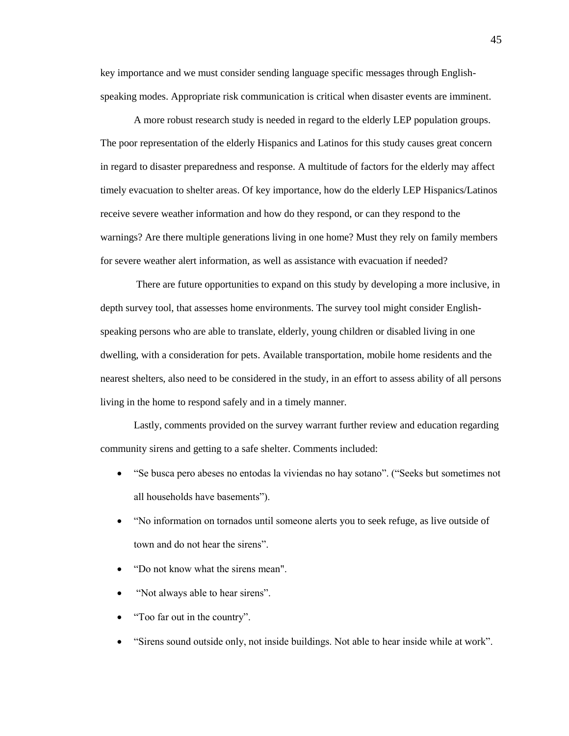key importance and we must consider sending language specific messages through Englishspeaking modes. Appropriate risk communication is critical when disaster events are imminent.

A more robust research study is needed in regard to the elderly LEP population groups. The poor representation of the elderly Hispanics and Latinos for this study causes great concern in regard to disaster preparedness and response. A multitude of factors for the elderly may affect timely evacuation to shelter areas. Of key importance, how do the elderly LEP Hispanics/Latinos receive severe weather information and how do they respond, or can they respond to the warnings? Are there multiple generations living in one home? Must they rely on family members for severe weather alert information, as well as assistance with evacuation if needed?

There are future opportunities to expand on this study by developing a more inclusive, in depth survey tool, that assesses home environments. The survey tool might consider Englishspeaking persons who are able to translate, elderly, young children or disabled living in one dwelling, with a consideration for pets. Available transportation, mobile home residents and the nearest shelters, also need to be considered in the study, in an effort to assess ability of all persons living in the home to respond safely and in a timely manner.

Lastly, comments provided on the survey warrant further review and education regarding community sirens and getting to a safe shelter. Comments included:

- "Se busca pero abeses no entodas la viviendas no hay sotano". ("Seeks but sometimes not all households have basements").
- "No information on tornados until someone alerts you to seek refuge, as live outside of town and do not hear the sirens".
- "Do not know what the sirens mean".
- "Not always able to hear sirens".
- "Too far out in the country".
- "Sirens sound outside only, not inside buildings. Not able to hear inside while at work".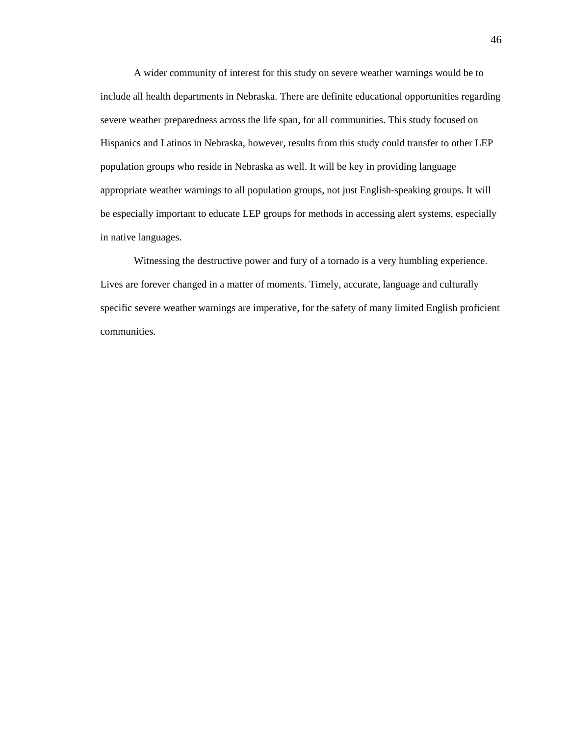A wider community of interest for this study on severe weather warnings would be to include all health departments in Nebraska. There are definite educational opportunities regarding severe weather preparedness across the life span, for all communities. This study focused on Hispanics and Latinos in Nebraska, however, results from this study could transfer to other LEP population groups who reside in Nebraska as well. It will be key in providing language appropriate weather warnings to all population groups, not just English-speaking groups. It will be especially important to educate LEP groups for methods in accessing alert systems, especially in native languages.

Witnessing the destructive power and fury of a tornado is a very humbling experience. Lives are forever changed in a matter of moments. Timely, accurate, language and culturally specific severe weather warnings are imperative, for the safety of many limited English proficient communities.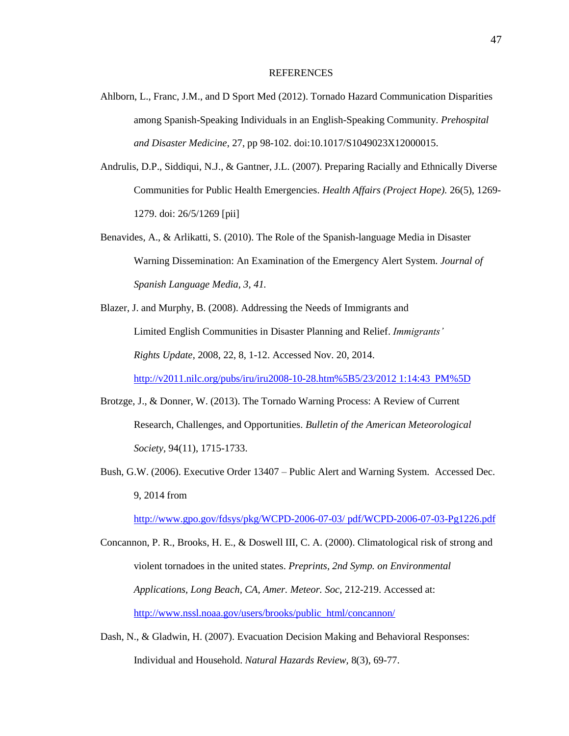#### **REFERENCES**

- Ahlborn, L., Franc, J.M., and D Sport Med (2012). Tornado Hazard Communication Disparities among Spanish-Speaking Individuals in an English-Speaking Community. *Prehospital and Disaster Medicine*, 27, pp 98-102. doi:10.1017/S1049023X12000015.
- Andrulis, D.P., Siddiqui, N.J., & Gantner, J.L. (2007). Preparing Racially and Ethnically Diverse Communities for Public Health Emergencies. *Health Affairs (Project Hope).* 26(5), 1269- 1279. doi: 26/5/1269 [pii]
- Benavides, A., & Arlikatti, S. (2010). The Role of the Spanish-language Media in Disaster Warning Dissemination: An Examination of the Emergency Alert System. *Journal of Spanish Language Media, 3, 41.*
- Blazer, J. and Murphy, B. (2008). Addressing the Needs of Immigrants and Limited English Communities in Disaster Planning and Relief. *Immigrants' Rights Update*, 2008, 22, 8, 1-12. Accessed Nov. 20, 2014. [http://v2011.nilc.org/pubs/iru/iru2008-10-28.htm%5B5/23/2012 1:14:43 PM%5D](http://v2011.nilc.org/pubs/iru/iru2008-10-28.htm%5B5/23/2012%201:14:43%20PM%5D)
- Brotzge, J., & Donner, W. (2013). The Tornado Warning Process: A Review of Current Research, Challenges, and Opportunities. *Bulletin of the American Meteorological Society,* 94(11), 1715-1733.
- Bush, G.W. (2006). Executive Order 13407 Public Alert and Warning System. Accessed Dec. 9, 2014 from

[http://www.gpo.gov/fdsys/pkg/WCPD-2006-07-03/ pdf/WCPD-2006-07-03-Pg1226.pdf](http://www.gpo.gov/fdsys/pkg/WCPD-2006-%0907-03/%20%09pdf/WCPD-2006-07-03-Pg1226.pdf)

Concannon, P. R., Brooks, H. E., & Doswell III, C. A. (2000). Climatological risk of strong and violent tornadoes in the united states. *Preprints, 2nd Symp. on Environmental Applications, Long Beach, CA, Amer. Meteor. Soc,* 212-219. Accessed at: [http://www.nssl.noaa.gov/users/brooks/public\\_html/concannon/](http://www.nssl.noaa.gov/users/brooks/public_html/concannon/)

Dash, N., & Gladwin, H. (2007). Evacuation Decision Making and Behavioral Responses: Individual and Household. *Natural Hazards Review,* 8(3), 69-77.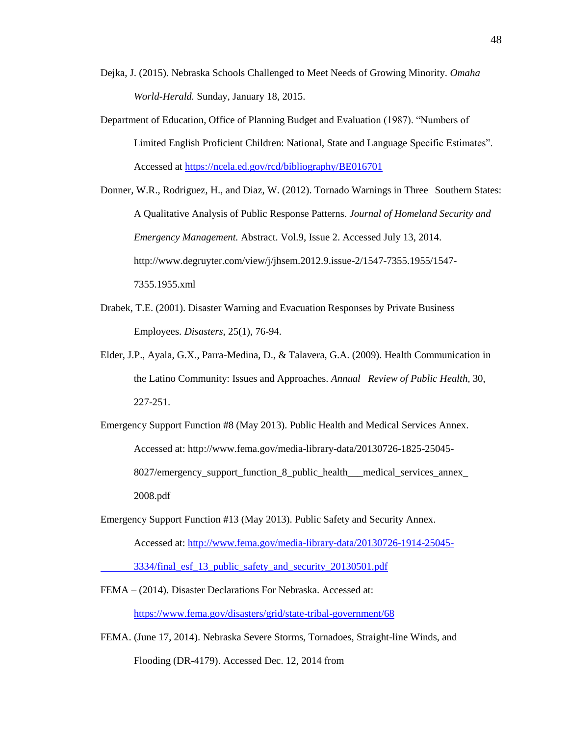- Dejka, J. (2015). Nebraska Schools Challenged to Meet Needs of Growing Minority. *Omaha World-Herald.* Sunday, January 18, 2015.
- Department of Education, Office of Planning Budget and Evaluation (1987). "Numbers of Limited English Proficient Children: National, State and Language Specific Estimates". Accessed at<https://ncela.ed.gov/rcd/bibliography/BE016701>

Donner, W.R., Rodriguez, H., and Diaz, W. (2012). Tornado Warnings in Three Southern States: A Qualitative Analysis of Public Response Patterns. *Journal of Homeland Security and Emergency Management.* Abstract. Vol.9, Issue 2. Accessed July 13, 2014. http://www.degruyter.com/view/j/jhsem.2012.9.issue-2/1547-7355.1955/1547- 7355.1955.xml

- Drabek, T.E. (2001). Disaster Warning and Evacuation Responses by Private Business Employees. *Disasters,* 25(1), 76-94.
- Elder, J.P., Ayala, G.X., Parra-Medina, D., & Talavera, G.A. (2009). Health Communication in the Latino Community: Issues and Approaches. *Annual Review of Public Health,* 30, 227-251.
- Emergency Support Function #8 (May 2013). Public Health and Medical Services Annex. Accessed at: http://www.fema.gov/media-library-data/20130726-1825-25045- 8027/emergency support function 8 public health — medical services annex 2008.pdf
- Emergency Support Function #13 (May 2013). Public Safety and Security Annex. Accessed at: [http://www.fema.gov/media-library-data/20130726-1914-25045-](http://www.fema.gov/media-library-data/20130726-1914-25045-%093334/final_esf_13_public_safety_and_security_20130501.pdf) [3334/final\\_esf\\_13\\_public\\_safety\\_and\\_security\\_20130501.pdf](http://www.fema.gov/media-library-data/20130726-1914-25045-%093334/final_esf_13_public_safety_and_security_20130501.pdf)
- FEMA (2014). Disaster Declarations For Nebraska. Accessed at: <https://www.fema.gov/disasters/grid/state-tribal-government/68>
- FEMA. (June 17, 2014). Nebraska Severe Storms, Tornadoes, Straight-line Winds, and Flooding (DR-4179). Accessed Dec. 12, 2014 from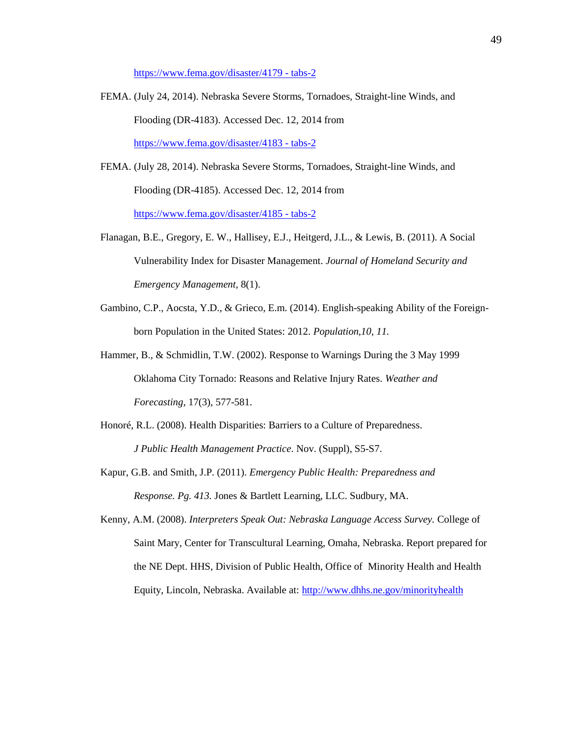[https://www.fema.gov/disaster/4179 -](https://www.fema.gov/disaster/4179#tabs-2) tabs-2

- FEMA. (July 24, 2014). Nebraska Severe Storms, Tornadoes, Straight-line Winds, and Flooding (DR-4183). Accessed Dec. 12, 2014 from [https://www.fema.gov/disaster/4183 -](https://www.fema.gov/disaster/4183#tabs-2) tabs-2
- FEMA. (July 28, 2014). Nebraska Severe Storms, Tornadoes, Straight-line Winds, and Flooding (DR-4185). Accessed Dec. 12, 2014 from [https://www.fema.gov/disaster/4185 -](https://www.fema.gov/disaster/4185#tabs-2) tabs-2
- Flanagan, B.E., Gregory, E. W., Hallisey, E.J., Heitgerd, J.L., & Lewis, B. (2011). A Social Vulnerability Index for Disaster Management. *Journal of Homeland Security and Emergency Management,* 8(1).
- Gambino, C.P., Aocsta, Y.D., & Grieco, E.m. (2014). English-speaking Ability of the Foreignborn Population in the United States: 2012. *Population,10, 11.*
- Hammer, B., & Schmidlin, T.W. (2002). Response to Warnings During the 3 May 1999 Oklahoma City Tornado: Reasons and Relative Injury Rates. *Weather and Forecasting,* 17(3), 577-581.
- Honoré, R.L. (2008). Health Disparities: Barriers to a Culture of Preparedness. *J Public Health Management Practice*. Nov. (Suppl), S5-S7.
- Kapur, G.B. and Smith, J.P. (2011). *Emergency Public Health: Preparedness and Response. Pg. 413.* Jones & Bartlett Learning, LLC. Sudbury, MA.
- Kenny, A.M. (2008). *Interpreters Speak Out: Nebraska Language Access Survey.* College of Saint Mary, Center for Transcultural Learning, Omaha, Nebraska. Report prepared for the NE Dept. HHS, Division of Public Health, Office of Minority Health and Health Equity, Lincoln, Nebraska. Available at: <http://www.dhhs.ne.gov/minorityhealth>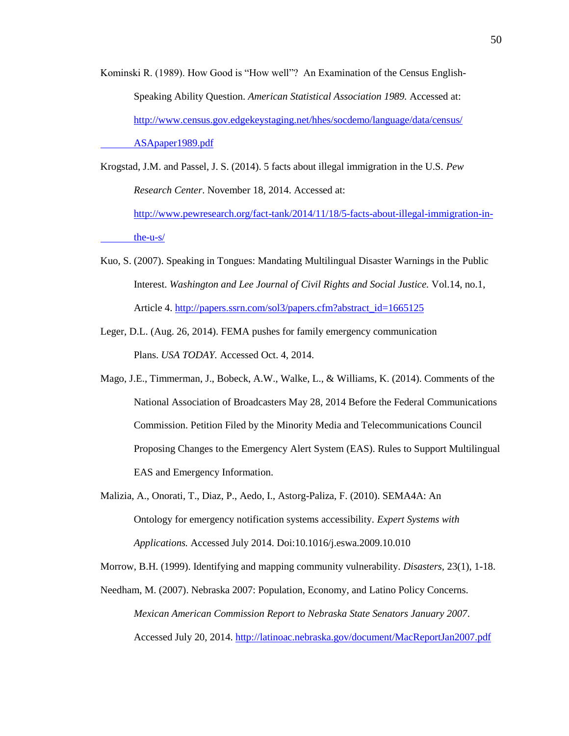Kominski R. (1989). How Good is "How well"? An Examination of the Census English-Speaking Ability Question. *American Statistical Association 1989.* Accessed at: [http://www.census.gov.edgekeystaging.net/hhes/socdemo/language/data/census/](http://www.census.gov.edgekeystaging.net/hhes/socdemo/language/data/census/ASApaper1989.pdf) [ASApaper1989.pdf](http://www.census.gov.edgekeystaging.net/hhes/socdemo/language/data/census/ASApaper1989.pdf)

Krogstad, J.M. and Passel, J. S. (2014). 5 facts about illegal immigration in the U.S. *Pew Research Center*. November 18, 2014. Accessed at: [http://www.pewresearch.org/fact-tank/2014/11/18/5-facts-about-illegal-immigration-in](http://www.pewresearch.org/fact-tank/2014/11/18/5-facts-about-illegal-%09immigration-in-the-u-s/)[the-u-s/](http://www.pewresearch.org/fact-tank/2014/11/18/5-facts-about-illegal-%09immigration-in-the-u-s/)

- Kuo, S. (2007). Speaking in Tongues: Mandating Multilingual Disaster Warnings in the Public Interest. *Washington and Lee Journal of Civil Rights and Social Justice.* Vol.14, no.1, Article 4. [http://papers.ssrn.com/sol3/papers.cfm?abstract\\_id=1665125](http://papers.ssrn.com/sol3/papers.cfm?abstract_id=1665125)
- Leger, D.L. (Aug. 26, 2014). FEMA pushes for family emergency communication Plans. *USA TODAY.* Accessed Oct. 4, 2014.
- Mago, J.E., Timmerman, J., Bobeck, A.W., Walke, L., & Williams, K. (2014). Comments of the National Association of Broadcasters May 28, 2014 Before the Federal Communications Commission. Petition Filed by the Minority Media and Telecommunications Council Proposing Changes to the Emergency Alert System (EAS). Rules to Support Multilingual EAS and Emergency Information.
- Malizia, A., Onorati, T., Diaz, P., Aedo, I., Astorg-Paliza, F. (2010). SEMA4A: An Ontology for emergency notification systems accessibility. *Expert Systems with Applications.* Accessed July 2014. Doi:10.1016/j.eswa.2009.10.010

Morrow, B.H. (1999). Identifying and mapping community vulnerability. *Disasters,* 23(1), 1-18.

Needham, M. (2007). Nebraska 2007: Population, Economy, and Latino Policy Concerns. *Mexican American Commission Report to Nebraska State Senators January 2007*. Accessed July 20, 2014.<http://latinoac.nebraska.gov/document/MacReportJan2007.pdf>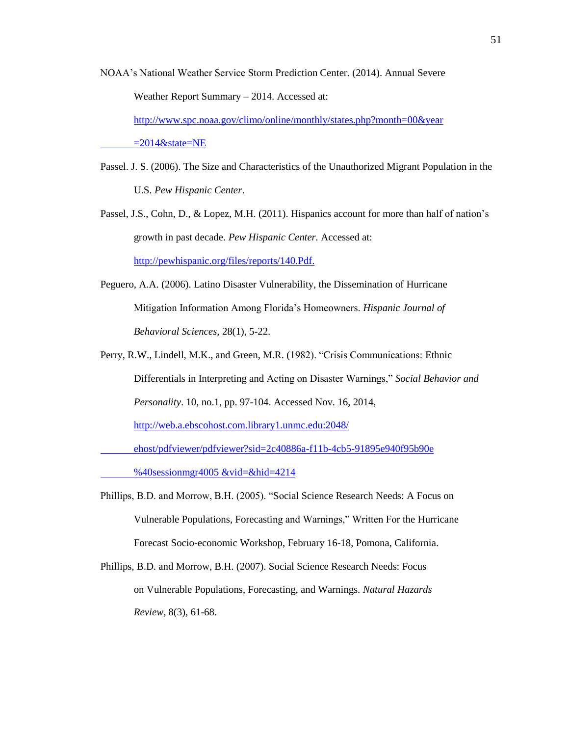NOAA's National Weather Service Storm Prediction Center. (2014). Annual Severe Weather Report Summary – 2014. Accessed at:

[http://www.spc.noaa.gov/climo/online/monthly/states.php?month=00&year](http://www.spc.noaa.gov/climo/online/monthly/states.php?month=00&year%09=2014&state=NE)  $=2014$ &state=NE

Passel. J. S. (2006). The Size and Characteristics of the Unauthorized Migrant Population in the U.S. *Pew Hispanic Center*.

Passel, J.S., Cohn, D., & Lopez, M.H. (2011). Hispanics account for more than half of nation's growth in past decade. *Pew Hispanic Center.* Accessed at: <http://pewhispanic.org/files/reports/140.Pdf.>

- Peguero, A.A. (2006). Latino Disaster Vulnerability, the Dissemination of Hurricane Mitigation Information Among Florida's Homeowners. *Hispanic Journal of Behavioral Sciences,* 28(1), 5-22.
- Perry, R.W., Lindell, M.K., and Green, M.R. (1982). "Crisis Communications: Ethnic Differentials in Interpreting and Acting on Disaster Warnings," *Social Behavior and Personality*. 10, no.1, pp. 97-104. Accessed Nov. 16, 2014, [http://web.a.ebscohost.com.library1.unmc.edu:2048/](http://web.a.ebscohost.com.library1.unmc.edu:2048/%20%09ehost/pdfviewer/pdfviewer?sid=2c40886a-f11b-4cb5-91895e940f95b90e%20%09%40sessionmgr4005%20&vid=&hid=4214)

[ehost/pdfviewer/pdfviewer?sid=2c40886a-f11b-4cb5-91895e940f95b90e](http://web.a.ebscohost.com.library1.unmc.edu:2048/%20%09ehost/pdfviewer/pdfviewer?sid=2c40886a-f11b-4cb5-91895e940f95b90e%20%09%40sessionmgr4005%20&vid=&hid=4214) 

[%40sessionmgr4005 &vid=&hid=4214](http://web.a.ebscohost.com.library1.unmc.edu:2048/%20%09ehost/pdfviewer/pdfviewer?sid=2c40886a-f11b-4cb5-91895e940f95b90e%20%09%40sessionmgr4005%20&vid=&hid=4214)

- Phillips, B.D. and Morrow, B.H. (2005). "Social Science Research Needs: A Focus on Vulnerable Populations, Forecasting and Warnings," Written For the Hurricane Forecast Socio-economic Workshop, February 16-18, Pomona, California.
- Phillips, B.D. and Morrow, B.H. (2007). Social Science Research Needs: Focus on Vulnerable Populations, Forecasting, and Warnings. *Natural Hazards Review,* 8(3), 61-68.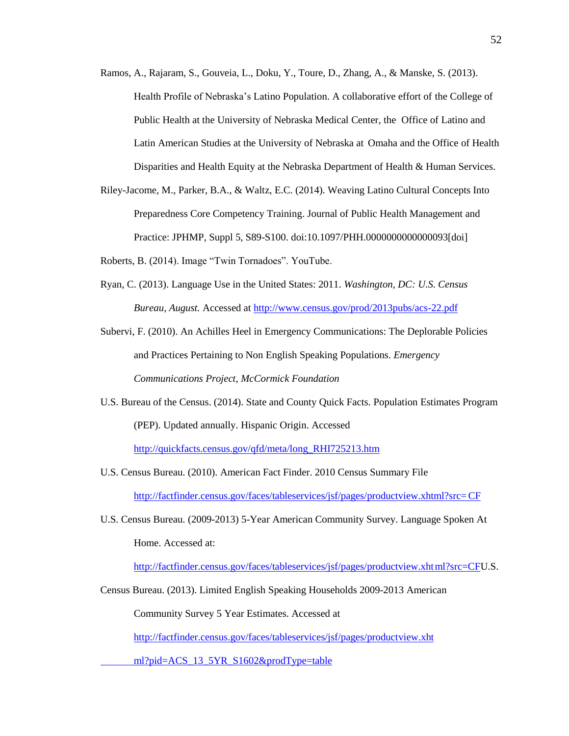- Ramos, A., Rajaram, S., Gouveia, L., Doku, Y., Toure, D., Zhang, A., & Manske, S. (2013). Health Profile of Nebraska's Latino Population. A collaborative effort of the College of Public Health at the University of Nebraska Medical Center, the Office of Latino and Latin American Studies at the University of Nebraska at Omaha and the Office of Health Disparities and Health Equity at the Nebraska Department of Health & Human Services.
- Riley-Jacome, M., Parker, B.A., & Waltz, E.C. (2014). Weaving Latino Cultural Concepts Into Preparedness Core Competency Training. Journal of Public Health Management and Practice: JPHMP, Suppl 5, S89-S100. doi:10.1097/PHH.0000000000000093[doi]
- Roberts, B. (2014). Image "Twin Tornadoes". YouTube.
- Ryan, C. (2013). Language Use in the United States: 2011. *Washington, DC: U.S. Census Bureau, August.* Accessed at<http://www.census.gov/prod/2013pubs/acs-22.pdf>
- Subervi, F. (2010). An Achilles Heel in Emergency Communications: The Deplorable Policies and Practices Pertaining to Non English Speaking Populations. *Emergency Communications Project, McCormick Foundation*
- U.S. Bureau of the Census. (2014). State and County Quick Facts. Population Estimates Program (PEP). Updated annually. Hispanic Origin. Accessed

[http://quickfacts.census.gov/qfd/meta/long\\_RHI725213.htm](http://quickfacts.census.gov/qfd/meta/long_RHI725213.htm)

- U.S. Census Bureau. (2010). American Fact Finder. 2010 Census Summary File [http://factfinder.census.gov/faces/tableservices/jsf/pages/productview.xhtml?src=CF](http://factfinder.census.gov/faces/tableservices/jsf/pages/productview.xhtml?src=%09CF)
- U.S. Census Bureau. (2009-2013) 5-Year American Community Survey. Language Spoken At Home. Accessed at:

[http://factfinder.census.gov/faces/tableservices/jsf/pages/productview.xhtml?src=CFU](http://factfinder.census.gov/faces/tableservices/jsf/pages/productview.xht%09ml?src=CF).S.

Census Bureau. (2013). Limited English Speaking Households 2009-2013 American

Community Survey 5 Year Estimates. Accessed at

[http://factfinder.census.gov/faces/tableservices/jsf/pages/productview.xht](http://factfinder.census.gov/faces/tableservices/jsf/pages/productview.xhtml?pid=%09ACS_13_5YR_S1602&prodType=table)

[ml?pid=ACS\\_13\\_5YR\\_S1602&prodType=table](http://factfinder.census.gov/faces/tableservices/jsf/pages/productview.xhtml?pid=%09ACS_13_5YR_S1602&prodType=table)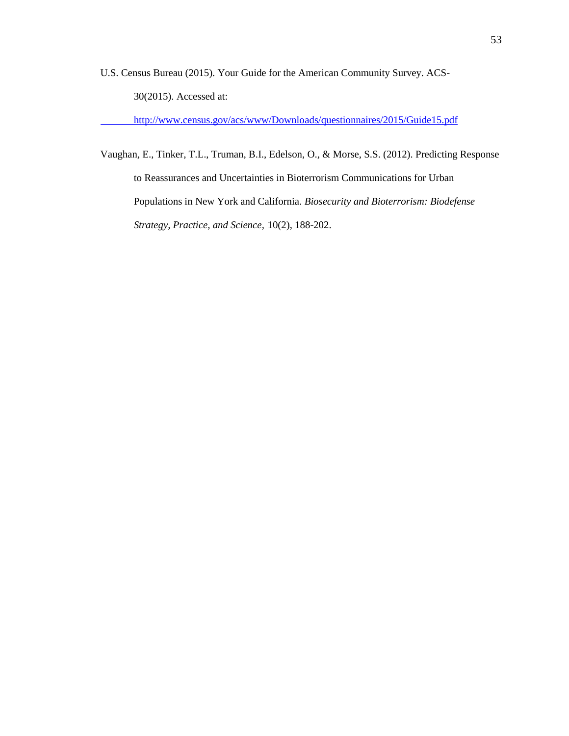U.S. Census Bureau (2015). Your Guide for the American Community Survey. ACS-30(2015). Accessed at:

<http://www.census.gov/acs/www/Downloads/questionnaires/2015/Guide15.pdf>

Vaughan, E., Tinker, T.L., Truman, B.I., Edelson, O., & Morse, S.S. (2012). Predicting Response to Reassurances and Uncertainties in Bioterrorism Communications for Urban Populations in New York and California. *Biosecurity and Bioterrorism: Biodefense Strategy, Practice, and Science,* 10(2), 188-202.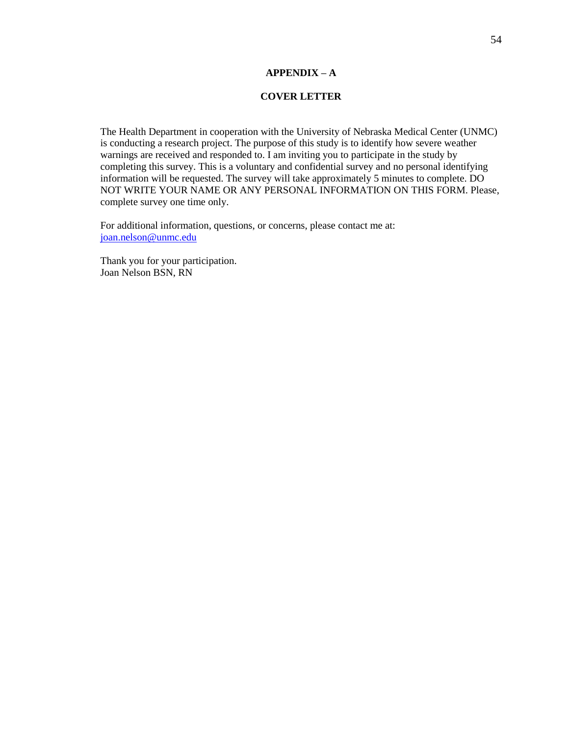# **APPENDIX – A**

## **COVER LETTER**

The Health Department in cooperation with the University of Nebraska Medical Center (UNMC) is conducting a research project. The purpose of this study is to identify how severe weather warnings are received and responded to. I am inviting you to participate in the study by completing this survey. This is a voluntary and confidential survey and no personal identifying information will be requested. The survey will take approximately 5 minutes to complete. DO NOT WRITE YOUR NAME OR ANY PERSONAL INFORMATION ON THIS FORM. Please, complete survey one time only.

For additional information, questions, or concerns, please contact me at: [joan.nelson@unmc.edu](mailto:joan.nelson@unmc.edu)

Thank you for your participation. Joan Nelson BSN, RN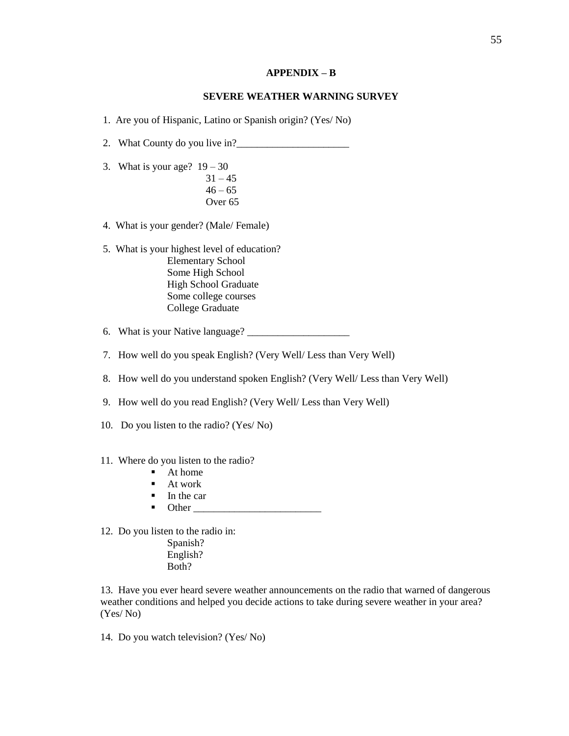#### **APPENDIX – B**

#### **SEVERE WEATHER WARNING SURVEY**

1. Are you of Hispanic, Latino or Spanish origin? (Yes/ No)

- 2. What County do you live in?
- 3. What is your age?  $19 30$  $31 - 45$  $46 - 65$ Over 65
- 4. What is your gender? (Male/ Female)
- 5. What is your highest level of education? Elementary School Some High School High School Graduate Some college courses College Graduate
- 6. What is your Native language?
- 7. How well do you speak English? (Very Well/ Less than Very Well)
- 8. How well do you understand spoken English? (Very Well/ Less than Very Well)
- 9. How well do you read English? (Very Well/ Less than Very Well)
- 10. Do you listen to the radio? (Yes/ No)
- 11. Where do you listen to the radio?
	- $\blacksquare$  At home
	- At work
	- In the car
	- $\blacksquare$  Other

12. Do you listen to the radio in:

Spanish? English? Both?

13. Have you ever heard severe weather announcements on the radio that warned of dangerous weather conditions and helped you decide actions to take during severe weather in your area? (Yes/ No)

14. Do you watch television? (Yes/ No)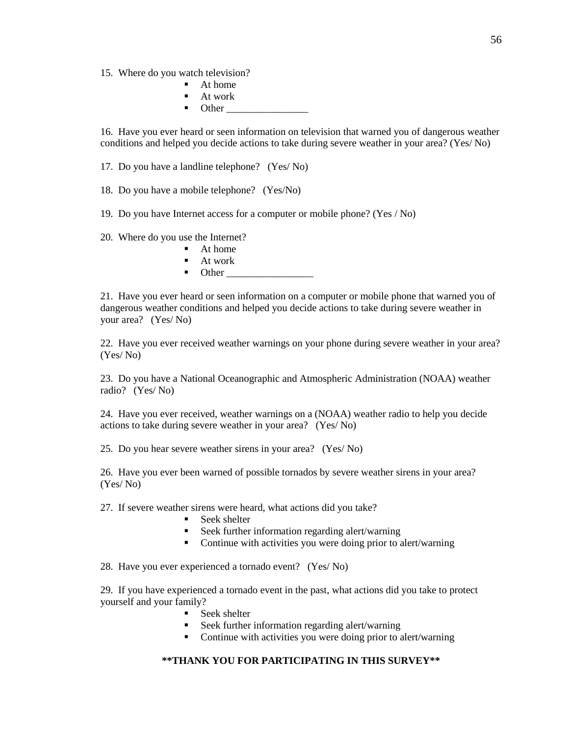- 15. Where do you watch television?
	- **At home**
	- At work
	- $\blacksquare$  Other

16. Have you ever heard or seen information on television that warned you of dangerous weather conditions and helped you decide actions to take during severe weather in your area? (Yes/ No)

17. Do you have a landline telephone? (Yes/ No)

18. Do you have a mobile telephone? (Yes/No)

19. Do you have Internet access for a computer or mobile phone? (Yes / No)

20. Where do you use the Internet?

- $A$ t home
- $A$ t work
- Other \_\_\_\_\_\_\_\_\_\_\_\_\_\_\_\_\_

21. Have you ever heard or seen information on a computer or mobile phone that warned you of dangerous weather conditions and helped you decide actions to take during severe weather in your area? (Yes/ No)

22. Have you ever received weather warnings on your phone during severe weather in your area? (Yes/ No)

23. Do you have a National Oceanographic and Atmospheric Administration (NOAA) weather radio? (Yes/ No)

24. Have you ever received, weather warnings on a (NOAA) weather radio to help you decide actions to take during severe weather in your area? (Yes/ No)

25. Do you hear severe weather sirens in your area? (Yes/ No)

26. Have you ever been warned of possible tornados by severe weather sirens in your area? (Yes/ No)

27. If severe weather sirens were heard, what actions did you take?

- Seek shelter
- Seek further information regarding alert/warning
- Continue with activities you were doing prior to alert/warning

28. Have you ever experienced a tornado event? (Yes/ No)

29. If you have experienced a tornado event in the past, what actions did you take to protect yourself and your family?

- Seek shelter
- Seek further information regarding alert/warning
- Continue with activities you were doing prior to alert/warning

# **\*\*THANK YOU FOR PARTICIPATING IN THIS SURVEY\*\***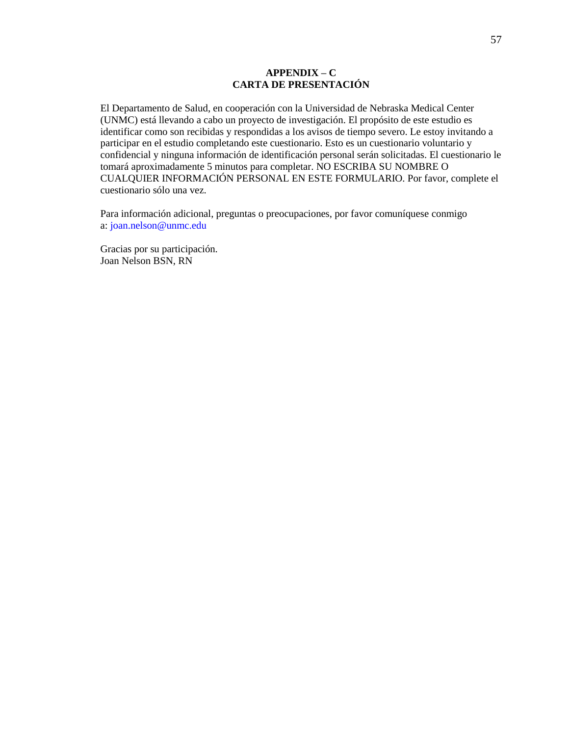# **APPENDIX – C CARTA DE PRESENTACIÓN**

El Departamento de Salud, en cooperación con la Universidad de Nebraska Medical Center (UNMC) está llevando a cabo un proyecto de investigación. El propósito de este estudio es identificar como son recibidas y respondidas a los avisos de tiempo severo. Le estoy invitando a participar en el estudio completando este cuestionario. Esto es un cuestionario voluntario y confidencial y ninguna información de identificación personal serán solicitadas. El cuestionario le tomará aproximadamente 5 minutos para completar. NO ESCRIBA SU NOMBRE O CUALQUIER INFORMACIÓN PERSONAL EN ESTE FORMULARIO. Por favor, complete el cuestionario sólo una vez.

Para información adicional, preguntas o preocupaciones, por favor comuníquese conmigo a: [joan.nelson@unmc.edu](mailto:joan.nelson@unmc.edu)

Gracias por su participación. Joan Nelson BSN, RN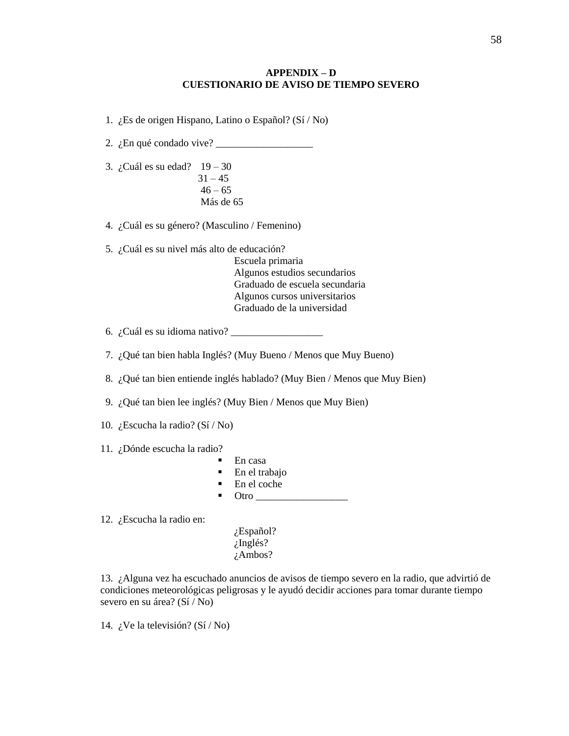## **APPENDIX – D CUESTIONARIO DE AVISO DE TIEMPO SEVERO**

1. ¿Es de origen Hispano, Latino o Español? (Sí / No)

2.  $i$ En qué condado vive?  $\frac{1}{i}$ 

 3. ¿Cuál es su edad? 19 – 30  $31 - 45$  $46 - 65$ Más de 65

4. ¿Cuál es su género? (Masculino / Femenino)

5. ¿Cuál es su nivel más alto de educación?

Escuela primaria Algunos estudios secundarios Graduado de escuela secundaria Algunos cursos universitarios Graduado de la universidad

6.  $i$ Cuál es su idioma nativo?  $\overline{\phantom{a}}$ 

- 7. ¿Qué tan bien habla Inglés? (Muy Bueno / Menos que Muy Bueno)
- 8. ¿Qué tan bien entiende inglés hablado? (Muy Bien / Menos que Muy Bien)
- 9. ¿Qué tan bien lee inglés? (Muy Bien / Menos que Muy Bien)
- 10. ¿Escucha la radio? (Sí / No)

11. ¿Dónde escucha la radio?

- En casa
- **En el trabajo**
- En el coche
- $\blacksquare$  Otro  $\blacksquare$

12. ¿Escucha la radio en:

¿Español? ¿Inglés? ¿Ambos?

13. ¿Alguna vez ha escuchado anuncios de avisos de tiempo severo en la radio, que advirtió de condiciones meteorológicas peligrosas y le ayudó decidir acciones para tomar durante tiempo severo en su área? (Sí / No)

14. ¿Ve la televisión? (Sí / No)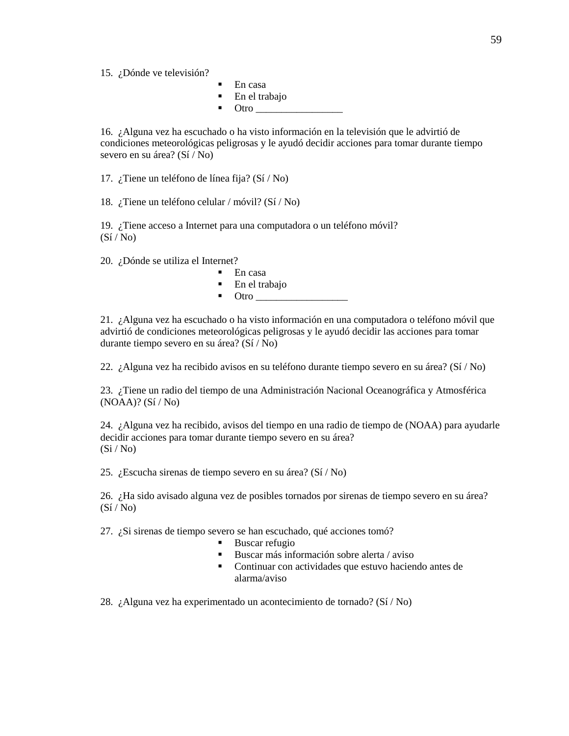15. ¿Dónde ve televisión?

- En casa
- En el trabajo
	- Otro  $\overline{\phantom{a}}$

16. ¿Alguna vez ha escuchado o ha visto información en la televisión que le advirtió de condiciones meteorológicas peligrosas y le ayudó decidir acciones para tomar durante tiempo severo en su área? (Sí / No)

17. ¿Tiene un teléfono de línea fija? (Sí / No)

18. ¿Tiene un teléfono celular / móvil? (Sí / No)

19. ¿Tiene acceso a Internet para una computadora o un teléfono móvil?  $(S_i / No)$ 

20. ¿Dónde se utiliza el Internet?

- En casa
- En el trabajo

 $\blacksquare$  Otro

21. ¿Alguna vez ha escuchado o ha visto información en una computadora o teléfono móvil que advirtió de condiciones meteorológicas peligrosas y le ayudó decidir las acciones para tomar durante tiempo severo en su área? (Sí / No)

22. ¿Alguna vez ha recibido avisos en su teléfono durante tiempo severo en su área? (Sí / No)

23. ¿Tiene un radio del tiempo de una Administración Nacional Oceanográfica y Atmosférica (NOAA)? (Sí / No)

24. ¿Alguna vez ha recibido, avisos del tiempo en una radio de tiempo de (NOAA) para ayudarle decidir acciones para tomar durante tiempo severo en su área?  $(Si/No)$ 

25. ¿Escucha sirenas de tiempo severo en su área? (Sí / No)

26. ¿Ha sido avisado alguna vez de posibles tornados por sirenas de tiempo severo en su área?  $(S_i / No)$ 

27. ¿Si sirenas de tiempo severo se han escuchado, qué acciones tomó?

- Buscar refugio
- Buscar más información sobre alerta / aviso
- Continuar con actividades que estuvo haciendo antes de alarma/aviso

28. ¿Alguna vez ha experimentado un acontecimiento de tornado? (Sí / No)